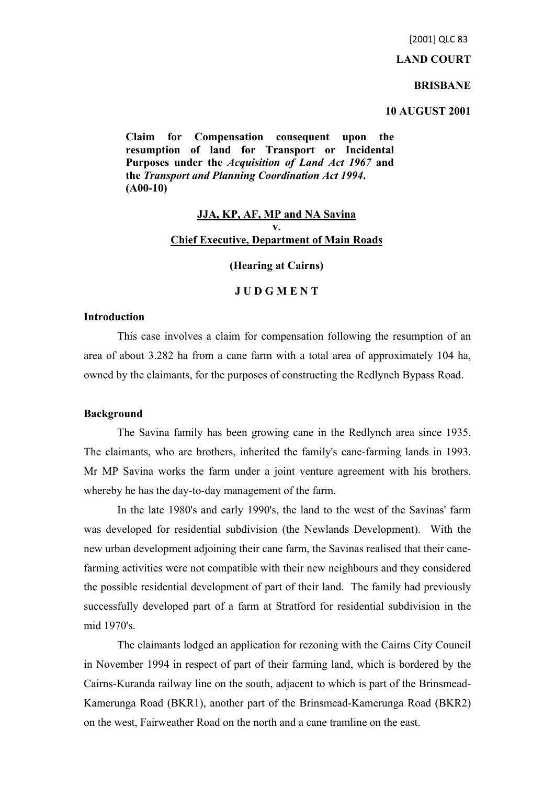[2001] QLC 83

#### **LAND COURT**

#### **BRISBANE**

## **10 AUGUST 2001**

**Claim for Compensation consequent upon the resumption of land for Transport or Incidental Purposes under the** *Acquisition of Land Act 1967* **and the** *Transport and Planning Coordination Act 1994***. (A00-10)**

# **JJA, KP, AF, MP and NA Savina v. Chief Executive, Department of Main Roads**

## **(Hearing at Cairns)**

# **J U D G M E N T**

#### **Introduction**

This case involves a claim for compensation following the resumption of an area of about 3.282 ha from a cane farm with a total area of approximately 104 ha, owned by the claimants, for the purposes of constructing the Redlynch Bypass Road.

## **Background**

The Savina family has been growing cane in the Redlynch area since 1935. The claimants, who are brothers, inherited the family's cane-farming lands in 1993. Mr MP Savina works the farm under a joint venture agreement with his brothers, whereby he has the day-to-day management of the farm.

In the late 1980's and early 1990's, the land to the west of the Savinas' farm was developed for residential subdivision (the Newlands Development). With the new urban development adjoining their cane farm, the Savinas realised that their canefarming activities were not compatible with their new neighbours and they considered the possible residential development of part of their land. The family had previously successfully developed part of a farm at Stratford for residential subdivision in the mid 1970's.

The claimants lodged an application for rezoning with the Cairns City Council in November 1994 in respect of part of their farming land, which is bordered by the Cairns-Kuranda railway line on the south, adjacent to which is part of the Brinsmead-Kamerunga Road (BKR1), another part of the Brinsmead-Kamerunga Road (BKR2) on the west, Fairweather Road on the north and a cane tramline on the east.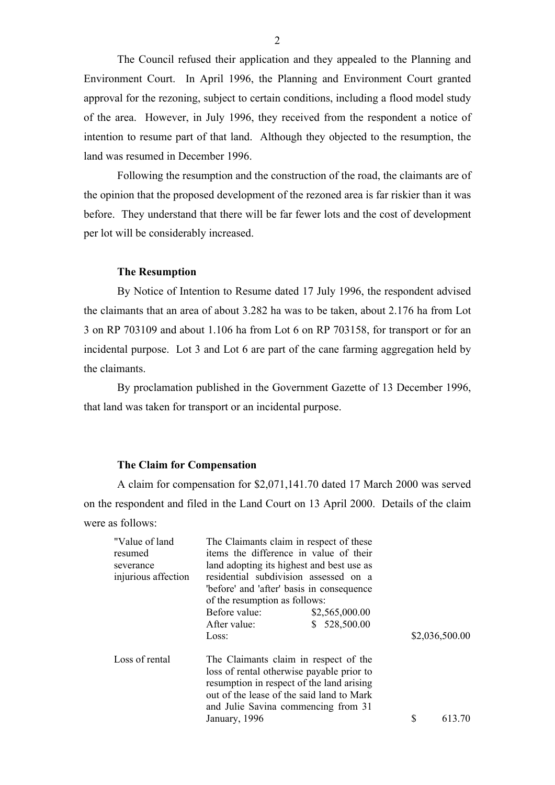The Council refused their application and they appealed to the Planning and Environment Court. In April 1996, the Planning and Environment Court granted approval for the rezoning, subject to certain conditions, including a flood model study of the area. However, in July 1996, they received from the respondent a notice of intention to resume part of that land. Although they objected to the resumption, the land was resumed in December 1996.

Following the resumption and the construction of the road, the claimants are of the opinion that the proposed development of the rezoned area is far riskier than it was before. They understand that there will be far fewer lots and the cost of development per lot will be considerably increased.

#### **The Resumption**

By Notice of Intention to Resume dated 17 July 1996, the respondent advised the claimants that an area of about 3.282 ha was to be taken, about 2.176 ha from Lot 3 on RP 703109 and about 1.106 ha from Lot 6 on RP 703158, for transport or for an incidental purpose. Lot 3 and Lot 6 are part of the cane farming aggregation held by the claimants.

By proclamation published in the Government Gazette of 13 December 1996, that land was taken for transport or an incidental purpose.

#### **The Claim for Compensation**

A claim for compensation for \$2,071,141.70 dated 17 March 2000 was served on the respondent and filed in the Land Court on 13 April 2000. Details of the claim were as follows:

| "Value of land"     | The Claimants claim in respect of these   |                  |   |                |  |
|---------------------|-------------------------------------------|------------------|---|----------------|--|
| resumed             | items the difference in value of their    |                  |   |                |  |
| severance           | land adopting its highest and best use as |                  |   |                |  |
| injurious affection | residential subdivision assessed on a     |                  |   |                |  |
|                     | "before" and "after" basis in consequence |                  |   |                |  |
|                     | of the resumption as follows:             |                  |   |                |  |
|                     | Before value:                             | \$2,565,000.00   |   |                |  |
|                     | After value:                              | 528,500.00<br>S. |   |                |  |
|                     | Loss:                                     |                  |   | \$2,036,500.00 |  |
| Loss of rental      | The Claimants claim in respect of the     |                  |   |                |  |
|                     | loss of rental otherwise payable prior to |                  |   |                |  |
|                     | resumption in respect of the land arising |                  |   |                |  |
|                     | out of the lease of the said land to Mark |                  |   |                |  |
|                     | and Julie Savina commencing from 31       |                  |   |                |  |
|                     | January, 1996                             |                  | S | 613.70         |  |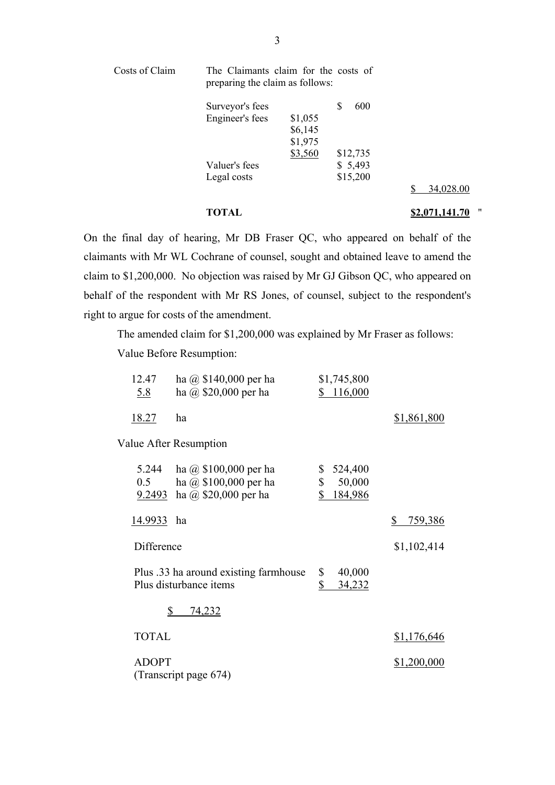| Costs of Claim | The Claimants claim for the costs of<br>preparing the claim as follows: |         |            |                      |
|----------------|-------------------------------------------------------------------------|---------|------------|----------------------|
|                | Surveyor's fees                                                         |         | 600<br>\$. |                      |
|                | Engineer's fees                                                         | \$1,055 |            |                      |
|                |                                                                         | \$6,145 |            |                      |
|                |                                                                         | \$1,975 |            |                      |
|                |                                                                         | \$3,560 | \$12,735   |                      |
|                | Valuer's fees                                                           |         | \$5,493    |                      |
|                | Legal costs                                                             |         | \$15,200   |                      |
|                |                                                                         |         |            | 34,028.00<br>S       |
|                | TOTAL                                                                   |         |            | ,,<br>\$2,071,141.70 |

On the final day of hearing, Mr DB Fraser QC, who appeared on behalf of the claimants with Mr WL Cochrane of counsel, sought and obtained leave to amend the claim to \$1,200,000. No objection was raised by Mr GJ Gibson QC, who appeared on behalf of the respondent with Mr RS Jones, of counsel, subject to the respondent's right to argue for costs of the amendment.

The amended claim for \$1,200,000 was explained by Mr Fraser as follows:

Value Before Resumption:

| 12.47<br><u>5.8</u> | ha $\omega$ \$140,000 per ha<br>ha $\omega$ \$20,000 per ha                           | \$1,745,800<br>\$116,000                                 |               |
|---------------------|---------------------------------------------------------------------------------------|----------------------------------------------------------|---------------|
| <u>18.27</u>        | ha                                                                                    |                                                          | \$1,861,800   |
|                     | Value After Resumption                                                                |                                                          |               |
| 5.244<br>0.5        | ha $\omega$ \$100,000 per ha<br>ha @ $$100,000$ per ha<br>9.2493 ha @ \$20,000 per ha | \$<br>524,400<br>\$<br>50,000<br>$\mathbb{S}$<br>184,986 |               |
| 14.9933             | ha                                                                                    |                                                          | \$<br>759,386 |
| Difference          |                                                                                       |                                                          | \$1,102,414   |
|                     | Plus .33 ha around existing farmhouse<br>Plus disturbance items                       | \$<br>40,000<br>\$<br>34,232                             |               |
| \$                  | 74,232                                                                                |                                                          |               |
| <b>TOTAL</b>        |                                                                                       |                                                          | \$1,176,646   |
| <b>ADOPT</b>        | (Transcript page 674)                                                                 |                                                          | \$1,200,000   |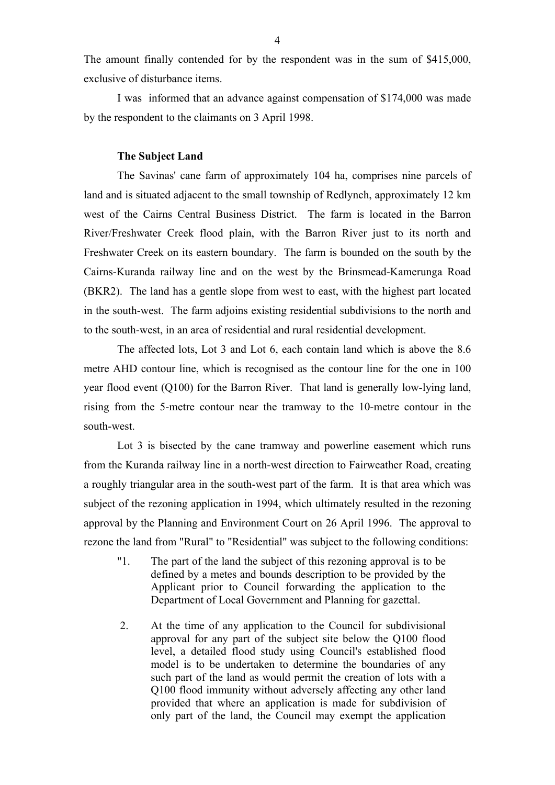The amount finally contended for by the respondent was in the sum of \$415,000, exclusive of disturbance items.

I was informed that an advance against compensation of \$174,000 was made by the respondent to the claimants on 3 April 1998.

## **The Subject Land**

The Savinas' cane farm of approximately 104 ha, comprises nine parcels of land and is situated adjacent to the small township of Redlynch, approximately 12 km west of the Cairns Central Business District. The farm is located in the Barron River/Freshwater Creek flood plain, with the Barron River just to its north and Freshwater Creek on its eastern boundary. The farm is bounded on the south by the Cairns-Kuranda railway line and on the west by the Brinsmead-Kamerunga Road (BKR2). The land has a gentle slope from west to east, with the highest part located in the south-west. The farm adjoins existing residential subdivisions to the north and to the south-west, in an area of residential and rural residential development.

The affected lots, Lot 3 and Lot 6, each contain land which is above the 8.6 metre AHD contour line, which is recognised as the contour line for the one in 100 year flood event (Q100) for the Barron River. That land is generally low-lying land, rising from the 5-metre contour near the tramway to the 10-metre contour in the south-west.

Lot 3 is bisected by the cane tramway and powerline easement which runs from the Kuranda railway line in a north-west direction to Fairweather Road, creating a roughly triangular area in the south-west part of the farm. It is that area which was subject of the rezoning application in 1994, which ultimately resulted in the rezoning approval by the Planning and Environment Court on 26 April 1996. The approval to rezone the land from "Rural" to "Residential" was subject to the following conditions:

- "1. The part of the land the subject of this rezoning approval is to be defined by a metes and bounds description to be provided by the Applicant prior to Council forwarding the application to the Department of Local Government and Planning for gazettal.
- 2. At the time of any application to the Council for subdivisional approval for any part of the subject site below the Q100 flood level, a detailed flood study using Council's established flood model is to be undertaken to determine the boundaries of any such part of the land as would permit the creation of lots with a Q100 flood immunity without adversely affecting any other land provided that where an application is made for subdivision of only part of the land, the Council may exempt the application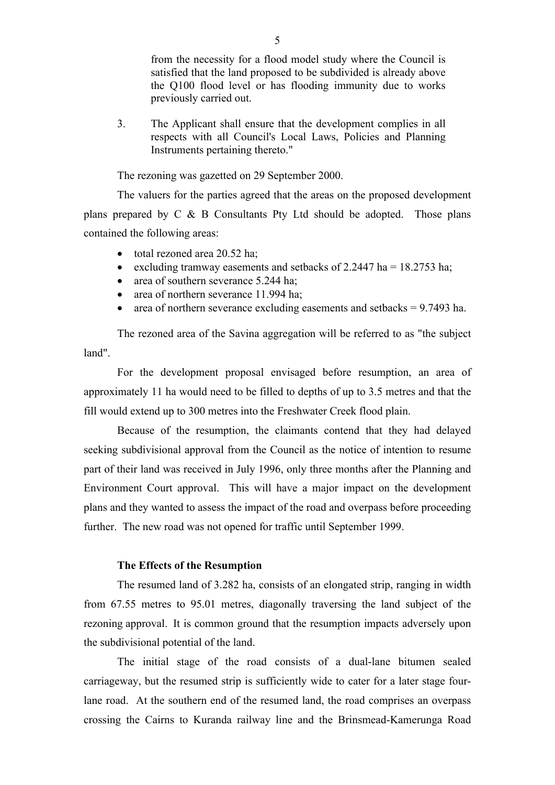from the necessity for a flood model study where the Council is satisfied that the land proposed to be subdivided is already above the Q100 flood level or has flooding immunity due to works previously carried out.

3. The Applicant shall ensure that the development complies in all respects with all Council's Local Laws, Policies and Planning Instruments pertaining thereto."

The rezoning was gazetted on 29 September 2000.

The valuers for the parties agreed that the areas on the proposed development plans prepared by C & B Consultants Pty Ltd should be adopted. Those plans contained the following areas:

- total rezoned area 20.52 ha;
- excluding tramway easements and setbacks of 2.2447 ha =  $18.2753$  ha;
- area of southern severance 5.244 ha;
- area of northern severance 11.994 ha;
- area of northern severance excluding easements and setbacks  $= 9.7493$  ha.

The rezoned area of the Savina aggregation will be referred to as "the subject land".

For the development proposal envisaged before resumption, an area of approximately 11 ha would need to be filled to depths of up to 3.5 metres and that the fill would extend up to 300 metres into the Freshwater Creek flood plain.

Because of the resumption, the claimants contend that they had delayed seeking subdivisional approval from the Council as the notice of intention to resume part of their land was received in July 1996, only three months after the Planning and Environment Court approval. This will have a major impact on the development plans and they wanted to assess the impact of the road and overpass before proceeding further. The new road was not opened for traffic until September 1999.

## **The Effects of the Resumption**

The resumed land of 3.282 ha, consists of an elongated strip, ranging in width from 67.55 metres to 95.01 metres, diagonally traversing the land subject of the rezoning approval. It is common ground that the resumption impacts adversely upon the subdivisional potential of the land.

The initial stage of the road consists of a dual-lane bitumen sealed carriageway, but the resumed strip is sufficiently wide to cater for a later stage fourlane road. At the southern end of the resumed land, the road comprises an overpass crossing the Cairns to Kuranda railway line and the Brinsmead-Kamerunga Road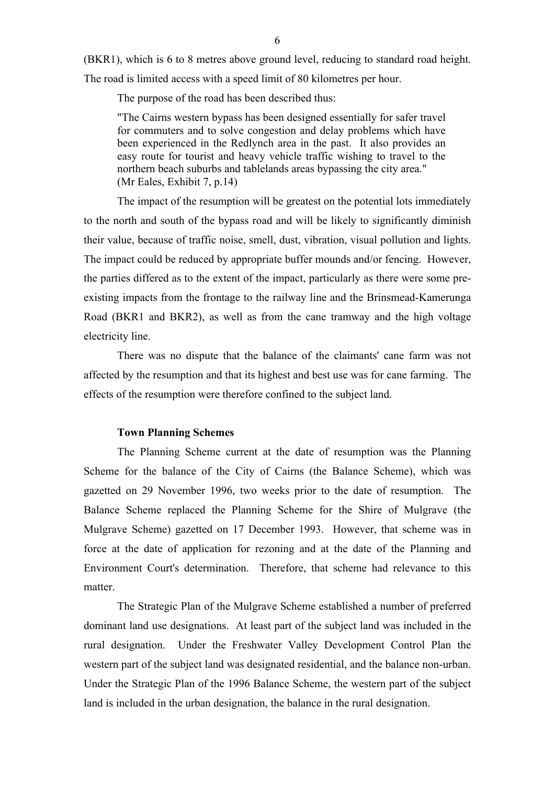(BKR1), which is 6 to 8 metres above ground level, reducing to standard road height. The road is limited access with a speed limit of 80 kilometres per hour.

The purpose of the road has been described thus:

"The Cairns western bypass has been designed essentially for safer travel for commuters and to solve congestion and delay problems which have been experienced in the Redlynch area in the past. It also provides an easy route for tourist and heavy vehicle traffic wishing to travel to the northern beach suburbs and tablelands areas bypassing the city area." (Mr Eales, Exhibit 7, p.14)

The impact of the resumption will be greatest on the potential lots immediately to the north and south of the bypass road and will be likely to significantly diminish their value, because of traffic noise, smell, dust, vibration, visual pollution and lights. The impact could be reduced by appropriate buffer mounds and/or fencing. However, the parties differed as to the extent of the impact, particularly as there were some preexisting impacts from the frontage to the railway line and the Brinsmead-Kamerunga Road (BKR1 and BKR2), as well as from the cane tramway and the high voltage electricity line.

There was no dispute that the balance of the claimants' cane farm was not affected by the resumption and that its highest and best use was for cane farming. The effects of the resumption were therefore confined to the subject land.

#### **Town Planning Schemes**

The Planning Scheme current at the date of resumption was the Planning Scheme for the balance of the City of Cairns (the Balance Scheme), which was gazetted on 29 November 1996, two weeks prior to the date of resumption. The Balance Scheme replaced the Planning Scheme for the Shire of Mulgrave (the Mulgrave Scheme) gazetted on 17 December 1993. However, that scheme was in force at the date of application for rezoning and at the date of the Planning and Environment Court's determination. Therefore, that scheme had relevance to this matter.

The Strategic Plan of the Mulgrave Scheme established a number of preferred dominant land use designations. At least part of the subject land was included in the rural designation. Under the Freshwater Valley Development Control Plan the western part of the subject land was designated residential, and the balance non-urban. Under the Strategic Plan of the 1996 Balance Scheme, the western part of the subject land is included in the urban designation, the balance in the rural designation.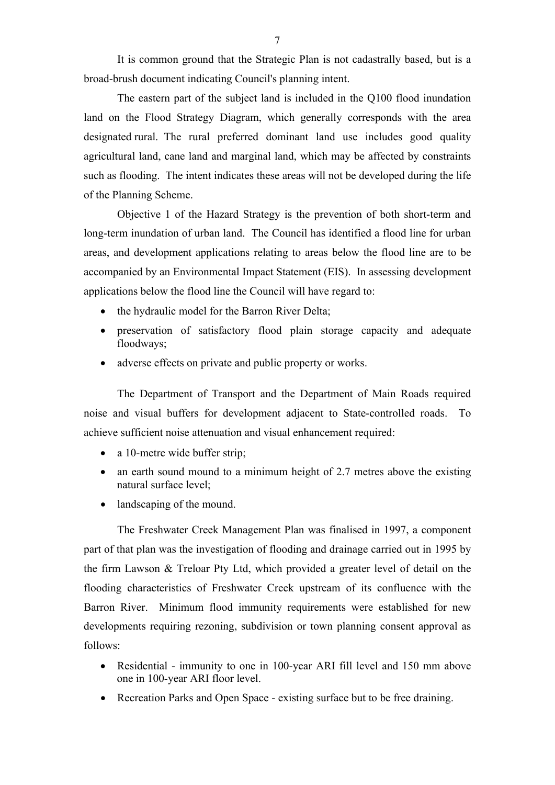It is common ground that the Strategic Plan is not cadastrally based, but is a broad-brush document indicating Council's planning intent.

 The eastern part of the subject land is included in the Q100 flood inundation land on the Flood Strategy Diagram, which generally corresponds with the area designated rural. The rural preferred dominant land use includes good quality agricultural land, cane land and marginal land, which may be affected by constraints such as flooding. The intent indicates these areas will not be developed during the life of the Planning Scheme.

Objective 1 of the Hazard Strategy is the prevention of both short-term and long-term inundation of urban land. The Council has identified a flood line for urban areas, and development applications relating to areas below the flood line are to be accompanied by an Environmental Impact Statement (EIS). In assessing development applications below the flood line the Council will have regard to:

- the hydraulic model for the Barron River Delta;
- preservation of satisfactory flood plain storage capacity and adequate floodways;
- adverse effects on private and public property or works.

The Department of Transport and the Department of Main Roads required noise and visual buffers for development adjacent to State-controlled roads. To achieve sufficient noise attenuation and visual enhancement required:

- a 10-metre wide buffer strip;
- an earth sound mound to a minimum height of 2.7 metres above the existing natural surface level;
- landscaping of the mound.

The Freshwater Creek Management Plan was finalised in 1997, a component part of that plan was the investigation of flooding and drainage carried out in 1995 by the firm Lawson & Treloar Pty Ltd, which provided a greater level of detail on the flooding characteristics of Freshwater Creek upstream of its confluence with the Barron River. Minimum flood immunity requirements were established for new developments requiring rezoning, subdivision or town planning consent approval as follows:

- Residential immunity to one in 100-year ARI fill level and 150 mm above one in 100-year ARI floor level.
- Recreation Parks and Open Space existing surface but to be free draining.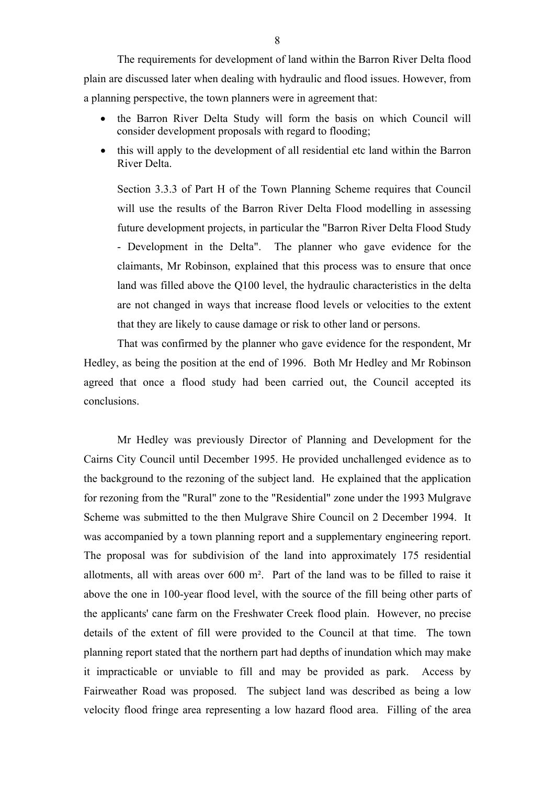The requirements for development of land within the Barron River Delta flood plain are discussed later when dealing with hydraulic and flood issues. However, from a planning perspective, the town planners were in agreement that:

- the Barron River Delta Study will form the basis on which Council will consider development proposals with regard to flooding;
- this will apply to the development of all residential etc land within the Barron River Delta.

Section 3.3.3 of Part H of the Town Planning Scheme requires that Council will use the results of the Barron River Delta Flood modelling in assessing future development projects, in particular the "Barron River Delta Flood Study - Development in the Delta". The planner who gave evidence for the claimants, Mr Robinson, explained that this process was to ensure that once land was filled above the Q100 level, the hydraulic characteristics in the delta are not changed in ways that increase flood levels or velocities to the extent that they are likely to cause damage or risk to other land or persons.

That was confirmed by the planner who gave evidence for the respondent, Mr Hedley, as being the position at the end of 1996. Both Mr Hedley and Mr Robinson agreed that once a flood study had been carried out, the Council accepted its conclusions.

Mr Hedley was previously Director of Planning and Development for the Cairns City Council until December 1995. He provided unchallenged evidence as to the background to the rezoning of the subject land. He explained that the application for rezoning from the "Rural" zone to the "Residential" zone under the 1993 Mulgrave Scheme was submitted to the then Mulgrave Shire Council on 2 December 1994. It was accompanied by a town planning report and a supplementary engineering report. The proposal was for subdivision of the land into approximately 175 residential allotments, all with areas over 600 m². Part of the land was to be filled to raise it above the one in 100-year flood level, with the source of the fill being other parts of the applicants' cane farm on the Freshwater Creek flood plain. However, no precise details of the extent of fill were provided to the Council at that time. The town planning report stated that the northern part had depths of inundation which may make it impracticable or unviable to fill and may be provided as park. Access by Fairweather Road was proposed. The subject land was described as being a low velocity flood fringe area representing a low hazard flood area. Filling of the area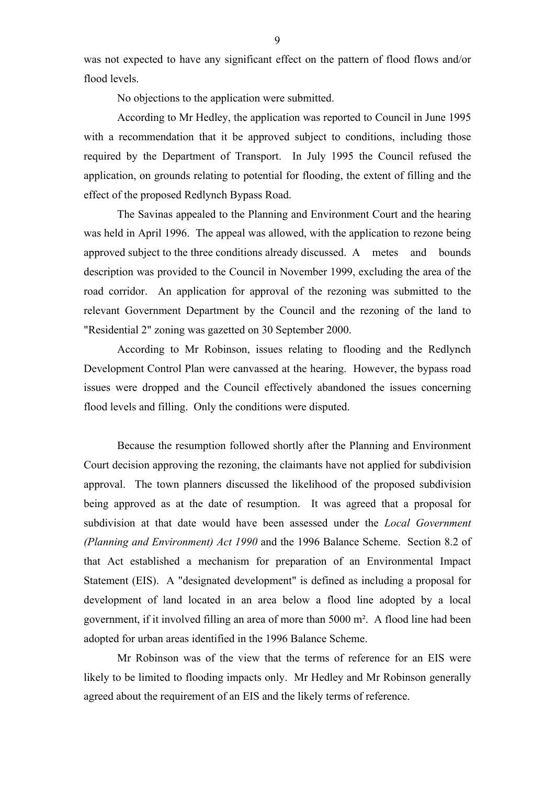was not expected to have any significant effect on the pattern of flood flows and/or flood levels.

No objections to the application were submitted.

According to Mr Hedley, the application was reported to Council in June 1995 with a recommendation that it be approved subject to conditions, including those required by the Department of Transport. In July 1995 the Council refused the application, on grounds relating to potential for flooding, the extent of filling and the effect of the proposed Redlynch Bypass Road.

The Savinas appealed to the Planning and Environment Court and the hearing was held in April 1996. The appeal was allowed, with the application to rezone being approved subject to the three conditions already discussed. A metes and bounds description was provided to the Council in November 1999, excluding the area of the road corridor. An application for approval of the rezoning was submitted to the relevant Government Department by the Council and the rezoning of the land to "Residential 2" zoning was gazetted on 30 September 2000.

According to Mr Robinson, issues relating to flooding and the Redlynch Development Control Plan were canvassed at the hearing. However, the bypass road issues were dropped and the Council effectively abandoned the issues concerning flood levels and filling. Only the conditions were disputed.

Because the resumption followed shortly after the Planning and Environment Court decision approving the rezoning, the claimants have not applied for subdivision approval. The town planners discussed the likelihood of the proposed subdivision being approved as at the date of resumption. It was agreed that a proposal for subdivision at that date would have been assessed under the *Local Government (Planning and Environment) Act 1990* and the 1996 Balance Scheme. Section 8.2 of that Act established a mechanism for preparation of an Environmental Impact Statement (EIS). A "designated development" is defined as including a proposal for development of land located in an area below a flood line adopted by a local government, if it involved filling an area of more than 5000 m². A flood line had been adopted for urban areas identified in the 1996 Balance Scheme.

Mr Robinson was of the view that the terms of reference for an EIS were likely to be limited to flooding impacts only. Mr Hedley and Mr Robinson generally agreed about the requirement of an EIS and the likely terms of reference.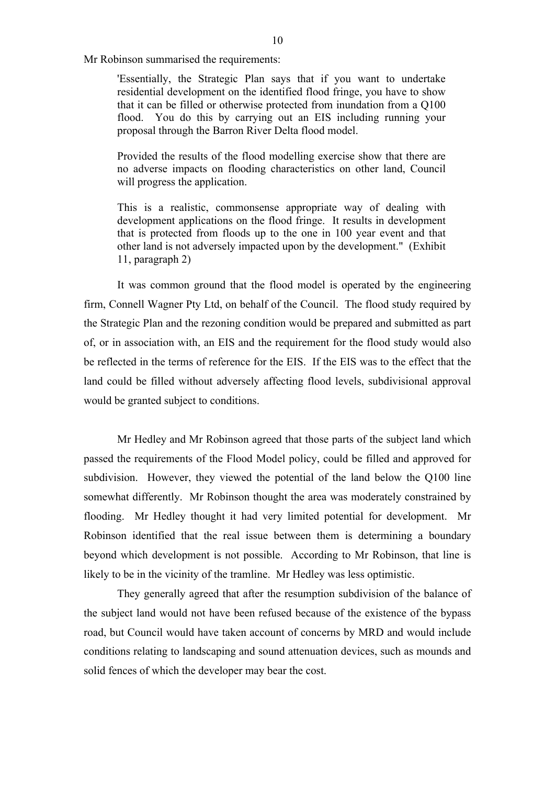Mr Robinson summarised the requirements:

'Essentially, the Strategic Plan says that if you want to undertake residential development on the identified flood fringe, you have to show that it can be filled or otherwise protected from inundation from a Q100 flood. You do this by carrying out an EIS including running your proposal through the Barron River Delta flood model.

Provided the results of the flood modelling exercise show that there are no adverse impacts on flooding characteristics on other land, Council will progress the application.

This is a realistic, commonsense appropriate way of dealing with development applications on the flood fringe. It results in development that is protected from floods up to the one in 100 year event and that other land is not adversely impacted upon by the development." (Exhibit 11, paragraph 2)

It was common ground that the flood model is operated by the engineering firm, Connell Wagner Pty Ltd, on behalf of the Council. The flood study required by the Strategic Plan and the rezoning condition would be prepared and submitted as part of, or in association with, an EIS and the requirement for the flood study would also be reflected in the terms of reference for the EIS. If the EIS was to the effect that the land could be filled without adversely affecting flood levels, subdivisional approval would be granted subject to conditions.

Mr Hedley and Mr Robinson agreed that those parts of the subject land which passed the requirements of the Flood Model policy, could be filled and approved for subdivision. However, they viewed the potential of the land below the Q100 line somewhat differently. Mr Robinson thought the area was moderately constrained by flooding. Mr Hedley thought it had very limited potential for development. Mr Robinson identified that the real issue between them is determining a boundary beyond which development is not possible. According to Mr Robinson, that line is likely to be in the vicinity of the tramline. Mr Hedley was less optimistic.

They generally agreed that after the resumption subdivision of the balance of the subject land would not have been refused because of the existence of the bypass road, but Council would have taken account of concerns by MRD and would include conditions relating to landscaping and sound attenuation devices, such as mounds and solid fences of which the developer may bear the cost.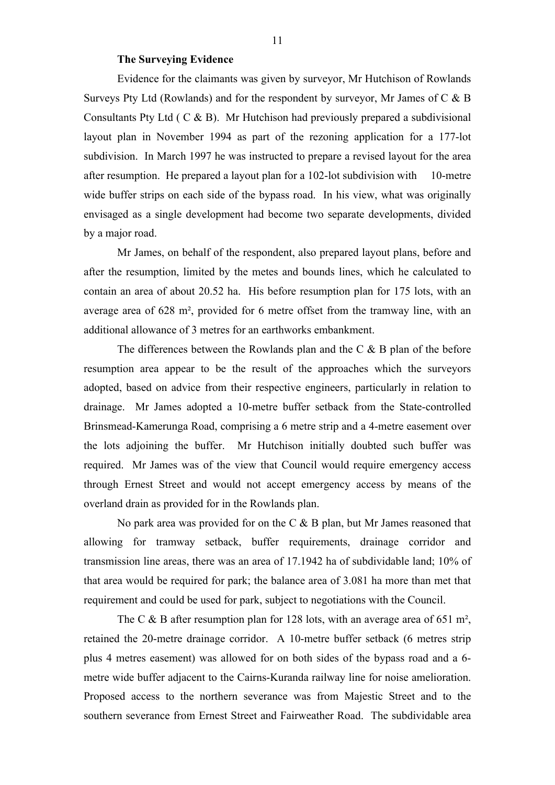## **The Surveying Evidence**

Evidence for the claimants was given by surveyor, Mr Hutchison of Rowlands Surveys Pty Ltd (Rowlands) and for the respondent by surveyor, Mr James of C & B Consultants Pty Ltd ( C & B). Mr Hutchison had previously prepared a subdivisional layout plan in November 1994 as part of the rezoning application for a 177-lot subdivision. In March 1997 he was instructed to prepare a revised layout for the area after resumption. He prepared a layout plan for a 102-lot subdivision with 10-metre wide buffer strips on each side of the bypass road. In his view, what was originally envisaged as a single development had become two separate developments, divided by a major road.

Mr James, on behalf of the respondent, also prepared layout plans, before and after the resumption, limited by the metes and bounds lines, which he calculated to contain an area of about 20.52 ha. His before resumption plan for 175 lots, with an average area of 628 m², provided for 6 metre offset from the tramway line, with an additional allowance of 3 metres for an earthworks embankment.

The differences between the Rowlands plan and the C & B plan of the before resumption area appear to be the result of the approaches which the surveyors adopted, based on advice from their respective engineers, particularly in relation to drainage. Mr James adopted a 10-metre buffer setback from the State-controlled Brinsmead-Kamerunga Road, comprising a 6 metre strip and a 4-metre easement over the lots adjoining the buffer. Mr Hutchison initially doubted such buffer was required. Mr James was of the view that Council would require emergency access through Ernest Street and would not accept emergency access by means of the overland drain as provided for in the Rowlands plan.

No park area was provided for on the C & B plan, but Mr James reasoned that allowing for tramway setback, buffer requirements, drainage corridor and transmission line areas, there was an area of 17.1942 ha of subdividable land; 10% of that area would be required for park; the balance area of 3.081 ha more than met that requirement and could be used for park, subject to negotiations with the Council.

The C  $\&$  B after resumption plan for 128 lots, with an average area of 651 m<sup>2</sup>, retained the 20-metre drainage corridor. A 10-metre buffer setback (6 metres strip plus 4 metres easement) was allowed for on both sides of the bypass road and a 6 metre wide buffer adjacent to the Cairns-Kuranda railway line for noise amelioration. Proposed access to the northern severance was from Majestic Street and to the southern severance from Ernest Street and Fairweather Road. The subdividable area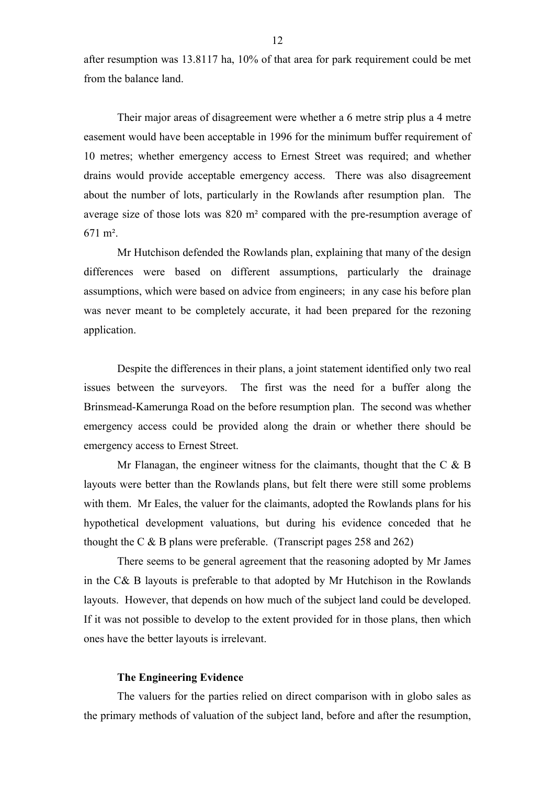after resumption was 13.8117 ha, 10% of that area for park requirement could be met from the balance land.

Their major areas of disagreement were whether a 6 metre strip plus a 4 metre easement would have been acceptable in 1996 for the minimum buffer requirement of 10 metres; whether emergency access to Ernest Street was required; and whether drains would provide acceptable emergency access. There was also disagreement about the number of lots, particularly in the Rowlands after resumption plan. The average size of those lots was 820 m² compared with the pre-resumption average of 671 m².

Mr Hutchison defended the Rowlands plan, explaining that many of the design differences were based on different assumptions, particularly the drainage assumptions, which were based on advice from engineers; in any case his before plan was never meant to be completely accurate, it had been prepared for the rezoning application.

Despite the differences in their plans, a joint statement identified only two real issues between the surveyors. The first was the need for a buffer along the Brinsmead-Kamerunga Road on the before resumption plan. The second was whether emergency access could be provided along the drain or whether there should be emergency access to Ernest Street.

Mr Flanagan, the engineer witness for the claimants, thought that the  $C \& B$ layouts were better than the Rowlands plans, but felt there were still some problems with them. Mr Eales, the valuer for the claimants, adopted the Rowlands plans for his hypothetical development valuations, but during his evidence conceded that he thought the C  $\&$  B plans were preferable. (Transcript pages 258 and 262)

There seems to be general agreement that the reasoning adopted by Mr James in the C& B layouts is preferable to that adopted by Mr Hutchison in the Rowlands layouts. However, that depends on how much of the subject land could be developed. If it was not possible to develop to the extent provided for in those plans, then which ones have the better layouts is irrelevant.

#### **The Engineering Evidence**

The valuers for the parties relied on direct comparison with in globo sales as the primary methods of valuation of the subject land, before and after the resumption,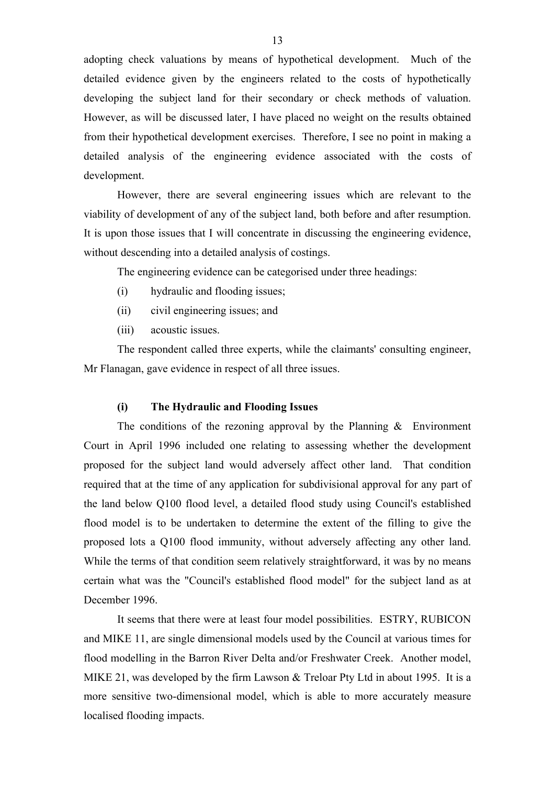adopting check valuations by means of hypothetical development. Much of the detailed evidence given by the engineers related to the costs of hypothetically developing the subject land for their secondary or check methods of valuation. However, as will be discussed later, I have placed no weight on the results obtained from their hypothetical development exercises. Therefore, I see no point in making a detailed analysis of the engineering evidence associated with the costs of development.

However, there are several engineering issues which are relevant to the viability of development of any of the subject land, both before and after resumption. It is upon those issues that I will concentrate in discussing the engineering evidence, without descending into a detailed analysis of costings.

The engineering evidence can be categorised under three headings:

- (i) hydraulic and flooding issues;
- (ii) civil engineering issues; and
- (iii) acoustic issues.

The respondent called three experts, while the claimants' consulting engineer, Mr Flanagan, gave evidence in respect of all three issues.

# **(i) The Hydraulic and Flooding Issues**

The conditions of the rezoning approval by the Planning  $\&$  Environment Court in April 1996 included one relating to assessing whether the development proposed for the subject land would adversely affect other land. That condition required that at the time of any application for subdivisional approval for any part of the land below Q100 flood level, a detailed flood study using Council's established flood model is to be undertaken to determine the extent of the filling to give the proposed lots a Q100 flood immunity, without adversely affecting any other land. While the terms of that condition seem relatively straightforward, it was by no means certain what was the "Council's established flood model" for the subject land as at December 1996.

It seems that there were at least four model possibilities. ESTRY, RUBICON and MIKE 11, are single dimensional models used by the Council at various times for flood modelling in the Barron River Delta and/or Freshwater Creek. Another model, MIKE 21, was developed by the firm Lawson & Treloar Pty Ltd in about 1995. It is a more sensitive two-dimensional model, which is able to more accurately measure localised flooding impacts.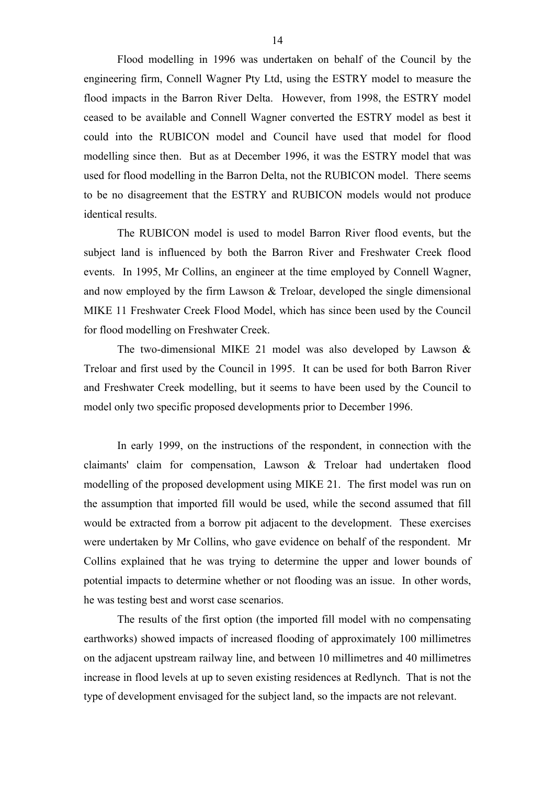Flood modelling in 1996 was undertaken on behalf of the Council by the engineering firm, Connell Wagner Pty Ltd, using the ESTRY model to measure the flood impacts in the Barron River Delta. However, from 1998, the ESTRY model ceased to be available and Connell Wagner converted the ESTRY model as best it could into the RUBICON model and Council have used that model for flood modelling since then. But as at December 1996, it was the ESTRY model that was used for flood modelling in the Barron Delta, not the RUBICON model. There seems to be no disagreement that the ESTRY and RUBICON models would not produce identical results.

The RUBICON model is used to model Barron River flood events, but the subject land is influenced by both the Barron River and Freshwater Creek flood events. In 1995, Mr Collins, an engineer at the time employed by Connell Wagner, and now employed by the firm Lawson & Treloar, developed the single dimensional MIKE 11 Freshwater Creek Flood Model, which has since been used by the Council for flood modelling on Freshwater Creek.

The two-dimensional MIKE 21 model was also developed by Lawson & Treloar and first used by the Council in 1995. It can be used for both Barron River and Freshwater Creek modelling, but it seems to have been used by the Council to model only two specific proposed developments prior to December 1996.

In early 1999, on the instructions of the respondent, in connection with the claimants' claim for compensation, Lawson & Treloar had undertaken flood modelling of the proposed development using MIKE 21. The first model was run on the assumption that imported fill would be used, while the second assumed that fill would be extracted from a borrow pit adjacent to the development. These exercises were undertaken by Mr Collins, who gave evidence on behalf of the respondent. Mr Collins explained that he was trying to determine the upper and lower bounds of potential impacts to determine whether or not flooding was an issue. In other words, he was testing best and worst case scenarios.

The results of the first option (the imported fill model with no compensating earthworks) showed impacts of increased flooding of approximately 100 millimetres on the adjacent upstream railway line, and between 10 millimetres and 40 millimetres increase in flood levels at up to seven existing residences at Redlynch. That is not the type of development envisaged for the subject land, so the impacts are not relevant.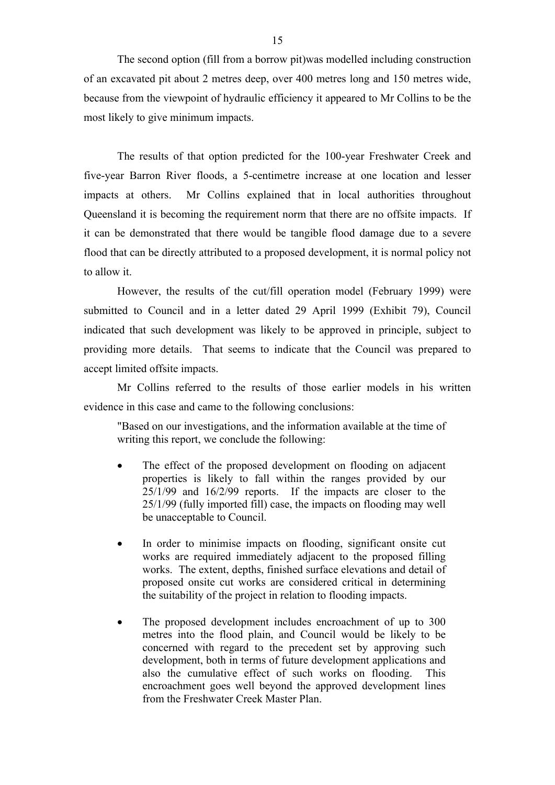The second option (fill from a borrow pit)was modelled including construction of an excavated pit about 2 metres deep, over 400 metres long and 150 metres wide, because from the viewpoint of hydraulic efficiency it appeared to Mr Collins to be the most likely to give minimum impacts.

The results of that option predicted for the 100-year Freshwater Creek and five-year Barron River floods, a 5-centimetre increase at one location and lesser impacts at others. Mr Collins explained that in local authorities throughout Queensland it is becoming the requirement norm that there are no offsite impacts. If it can be demonstrated that there would be tangible flood damage due to a severe flood that can be directly attributed to a proposed development, it is normal policy not to allow it.

However, the results of the cut/fill operation model (February 1999) were submitted to Council and in a letter dated 29 April 1999 (Exhibit 79), Council indicated that such development was likely to be approved in principle, subject to providing more details. That seems to indicate that the Council was prepared to accept limited offsite impacts.

Mr Collins referred to the results of those earlier models in his written evidence in this case and came to the following conclusions:

"Based on our investigations, and the information available at the time of writing this report, we conclude the following:

- The effect of the proposed development on flooding on adjacent properties is likely to fall within the ranges provided by our 25/1/99 and 16/2/99 reports. If the impacts are closer to the 25/1/99 (fully imported fill) case, the impacts on flooding may well be unacceptable to Council.
- In order to minimise impacts on flooding, significant onsite cut works are required immediately adjacent to the proposed filling works. The extent, depths, finished surface elevations and detail of proposed onsite cut works are considered critical in determining the suitability of the project in relation to flooding impacts.
- The proposed development includes encroachment of up to 300 metres into the flood plain, and Council would be likely to be concerned with regard to the precedent set by approving such development, both in terms of future development applications and also the cumulative effect of such works on flooding. This encroachment goes well beyond the approved development lines from the Freshwater Creek Master Plan.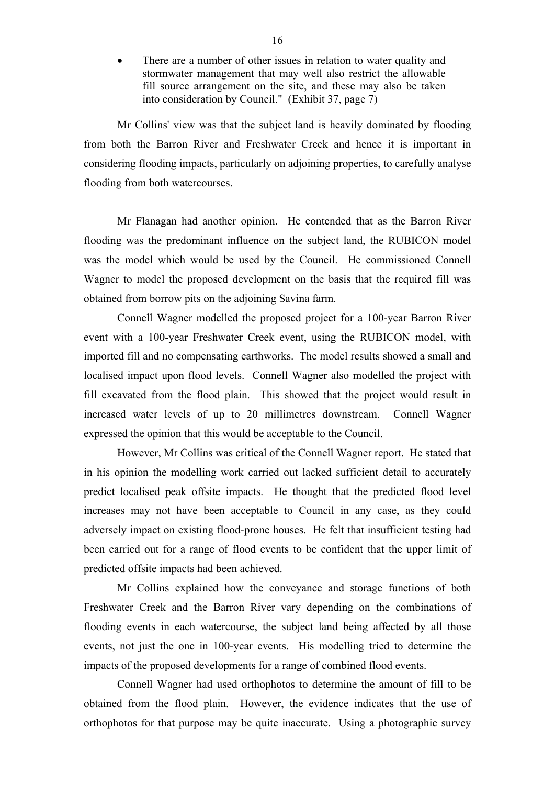There are a number of other issues in relation to water quality and stormwater management that may well also restrict the allowable fill source arrangement on the site, and these may also be taken into consideration by Council." (Exhibit 37, page 7)

Mr Collins' view was that the subject land is heavily dominated by flooding from both the Barron River and Freshwater Creek and hence it is important in considering flooding impacts, particularly on adjoining properties, to carefully analyse flooding from both watercourses.

Mr Flanagan had another opinion. He contended that as the Barron River flooding was the predominant influence on the subject land, the RUBICON model was the model which would be used by the Council. He commissioned Connell Wagner to model the proposed development on the basis that the required fill was obtained from borrow pits on the adjoining Savina farm.

Connell Wagner modelled the proposed project for a 100-year Barron River event with a 100-year Freshwater Creek event, using the RUBICON model, with imported fill and no compensating earthworks. The model results showed a small and localised impact upon flood levels. Connell Wagner also modelled the project with fill excavated from the flood plain. This showed that the project would result in increased water levels of up to 20 millimetres downstream. Connell Wagner expressed the opinion that this would be acceptable to the Council.

However, Mr Collins was critical of the Connell Wagner report. He stated that in his opinion the modelling work carried out lacked sufficient detail to accurately predict localised peak offsite impacts. He thought that the predicted flood level increases may not have been acceptable to Council in any case, as they could adversely impact on existing flood-prone houses. He felt that insufficient testing had been carried out for a range of flood events to be confident that the upper limit of predicted offsite impacts had been achieved.

Mr Collins explained how the conveyance and storage functions of both Freshwater Creek and the Barron River vary depending on the combinations of flooding events in each watercourse, the subject land being affected by all those events, not just the one in 100-year events. His modelling tried to determine the impacts of the proposed developments for a range of combined flood events.

Connell Wagner had used orthophotos to determine the amount of fill to be obtained from the flood plain. However, the evidence indicates that the use of orthophotos for that purpose may be quite inaccurate. Using a photographic survey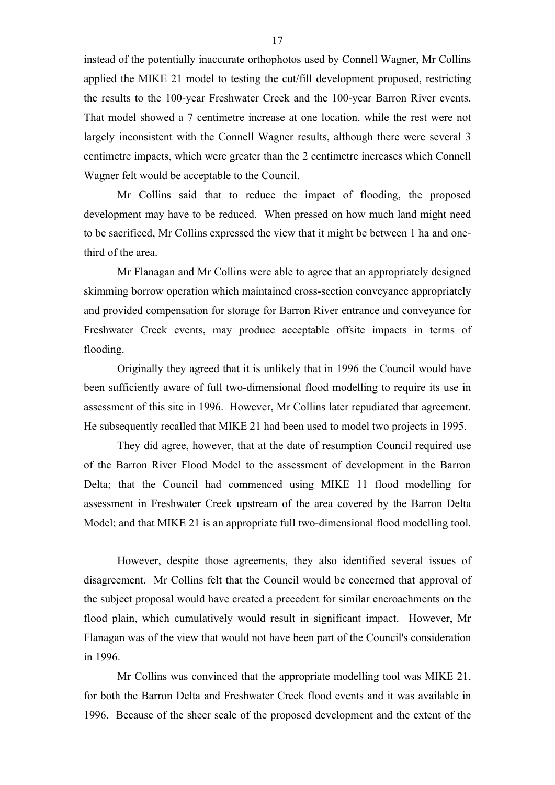instead of the potentially inaccurate orthophotos used by Connell Wagner, Mr Collins applied the MIKE 21 model to testing the cut/fill development proposed, restricting the results to the 100-year Freshwater Creek and the 100-year Barron River events. That model showed a 7 centimetre increase at one location, while the rest were not largely inconsistent with the Connell Wagner results, although there were several 3 centimetre impacts, which were greater than the 2 centimetre increases which Connell Wagner felt would be acceptable to the Council.

Mr Collins said that to reduce the impact of flooding, the proposed development may have to be reduced. When pressed on how much land might need to be sacrificed, Mr Collins expressed the view that it might be between 1 ha and onethird of the area.

Mr Flanagan and Mr Collins were able to agree that an appropriately designed skimming borrow operation which maintained cross-section conveyance appropriately and provided compensation for storage for Barron River entrance and conveyance for Freshwater Creek events, may produce acceptable offsite impacts in terms of flooding.

Originally they agreed that it is unlikely that in 1996 the Council would have been sufficiently aware of full two-dimensional flood modelling to require its use in assessment of this site in 1996. However, Mr Collins later repudiated that agreement. He subsequently recalled that MIKE 21 had been used to model two projects in 1995.

They did agree, however, that at the date of resumption Council required use of the Barron River Flood Model to the assessment of development in the Barron Delta; that the Council had commenced using MIKE 11 flood modelling for assessment in Freshwater Creek upstream of the area covered by the Barron Delta Model; and that MIKE 21 is an appropriate full two-dimensional flood modelling tool.

However, despite those agreements, they also identified several issues of disagreement. Mr Collins felt that the Council would be concerned that approval of the subject proposal would have created a precedent for similar encroachments on the flood plain, which cumulatively would result in significant impact. However, Mr Flanagan was of the view that would not have been part of the Council's consideration in 1996.

Mr Collins was convinced that the appropriate modelling tool was MIKE 21, for both the Barron Delta and Freshwater Creek flood events and it was available in 1996. Because of the sheer scale of the proposed development and the extent of the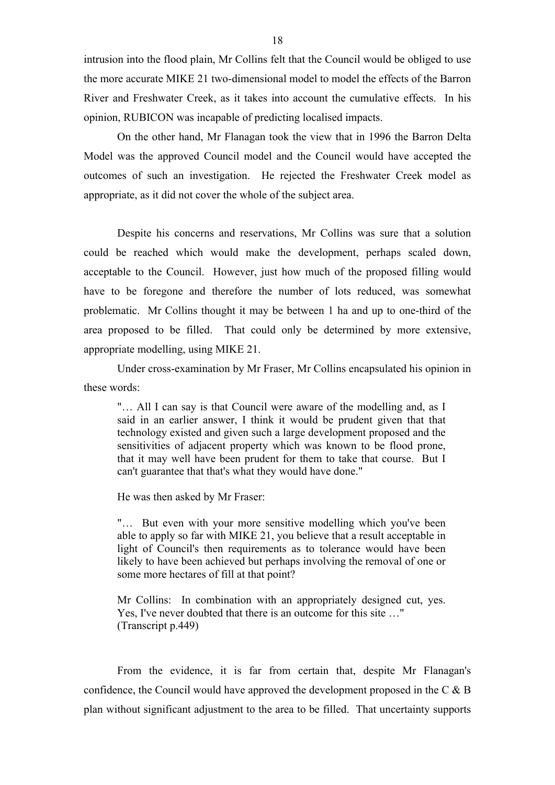intrusion into the flood plain, Mr Collins felt that the Council would be obliged to use the more accurate MIKE 21 two-dimensional model to model the effects of the Barron River and Freshwater Creek, as it takes into account the cumulative effects. In his opinion, RUBICON was incapable of predicting localised impacts.

On the other hand, Mr Flanagan took the view that in 1996 the Barron Delta Model was the approved Council model and the Council would have accepted the outcomes of such an investigation. He rejected the Freshwater Creek model as appropriate, as it did not cover the whole of the subject area.

Despite his concerns and reservations, Mr Collins was sure that a solution could be reached which would make the development, perhaps scaled down, acceptable to the Council. However, just how much of the proposed filling would have to be foregone and therefore the number of lots reduced, was somewhat problematic. Mr Collins thought it may be between 1 ha and up to one-third of the area proposed to be filled. That could only be determined by more extensive, appropriate modelling, using MIKE 21.

Under cross-examination by Mr Fraser, Mr Collins encapsulated his opinion in these words:

"… All I can say is that Council were aware of the modelling and, as I said in an earlier answer, I think it would be prudent given that that technology existed and given such a large development proposed and the sensitivities of adjacent property which was known to be flood prone, that it may well have been prudent for them to take that course. But I can't guarantee that that's what they would have done."

He was then asked by Mr Fraser:

"… But even with your more sensitive modelling which you've been able to apply so far with MIKE 21, you believe that a result acceptable in light of Council's then requirements as to tolerance would have been likely to have been achieved but perhaps involving the removal of one or some more hectares of fill at that point?

Mr Collins: In combination with an appropriately designed cut, yes. Yes, I've never doubted that there is an outcome for this site …" (Transcript p.449)

From the evidence, it is far from certain that, despite Mr Flanagan's confidence, the Council would have approved the development proposed in the C & B plan without significant adjustment to the area to be filled. That uncertainty supports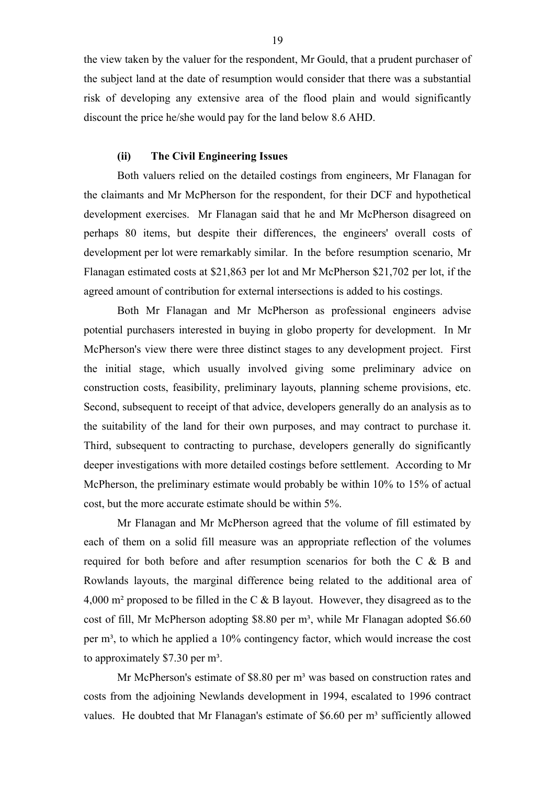the view taken by the valuer for the respondent, Mr Gould, that a prudent purchaser of the subject land at the date of resumption would consider that there was a substantial risk of developing any extensive area of the flood plain and would significantly discount the price he/she would pay for the land below 8.6 AHD.

## **(ii) The Civil Engineering Issues**

Both valuers relied on the detailed costings from engineers, Mr Flanagan for the claimants and Mr McPherson for the respondent, for their DCF and hypothetical development exercises. Mr Flanagan said that he and Mr McPherson disagreed on perhaps 80 items, but despite their differences, the engineers' overall costs of development per lot were remarkably similar. In the before resumption scenario, Mr Flanagan estimated costs at \$21,863 per lot and Mr McPherson \$21,702 per lot, if the agreed amount of contribution for external intersections is added to his costings.

Both Mr Flanagan and Mr McPherson as professional engineers advise potential purchasers interested in buying in globo property for development. In Mr McPherson's view there were three distinct stages to any development project. First the initial stage, which usually involved giving some preliminary advice on construction costs, feasibility, preliminary layouts, planning scheme provisions, etc. Second, subsequent to receipt of that advice, developers generally do an analysis as to the suitability of the land for their own purposes, and may contract to purchase it. Third, subsequent to contracting to purchase, developers generally do significantly deeper investigations with more detailed costings before settlement. According to Mr McPherson, the preliminary estimate would probably be within 10% to 15% of actual cost, but the more accurate estimate should be within 5%.

Mr Flanagan and Mr McPherson agreed that the volume of fill estimated by each of them on a solid fill measure was an appropriate reflection of the volumes required for both before and after resumption scenarios for both the C & B and Rowlands layouts, the marginal difference being related to the additional area of 4,000 m² proposed to be filled in the C & B layout. However, they disagreed as to the cost of fill, Mr McPherson adopting \$8.80 per m<sup>3</sup>, while Mr Flanagan adopted \$6.60 per  $m<sup>3</sup>$ , to which he applied a 10% contingency factor, which would increase the cost to approximately  $$7.30$  per m<sup>3</sup>.

Mr McPherson's estimate of \$8.80 per m<sup>3</sup> was based on construction rates and costs from the adjoining Newlands development in 1994, escalated to 1996 contract values. He doubted that Mr Flanagan's estimate of \$6.60 per m<sup>3</sup> sufficiently allowed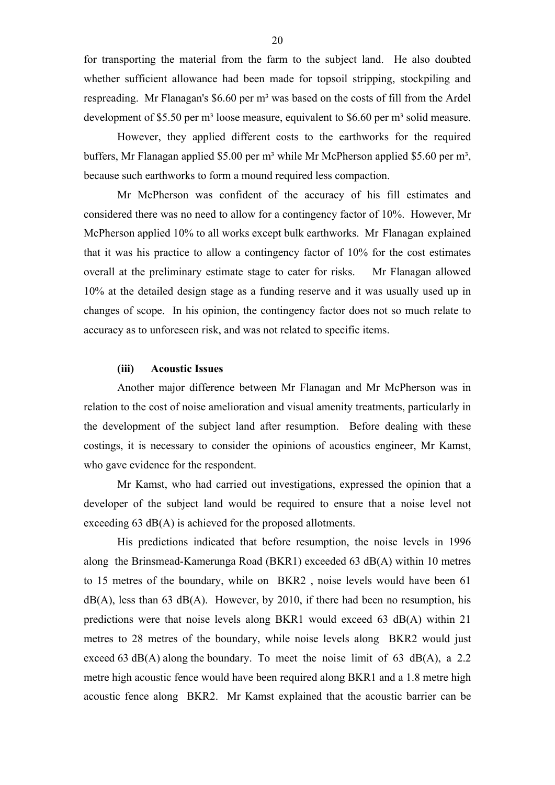for transporting the material from the farm to the subject land. He also doubted whether sufficient allowance had been made for topsoil stripping, stockpiling and respreading. Mr Flanagan's \$6.60 per m<sup>3</sup> was based on the costs of fill from the Ardel development of \$5.50 per m<sup>3</sup> loose measure, equivalent to \$6.60 per m<sup>3</sup> solid measure.

However, they applied different costs to the earthworks for the required buffers, Mr Flanagan applied \$5.00 per m<sup>3</sup> while Mr McPherson applied \$5.60 per m<sup>3</sup>, because such earthworks to form a mound required less compaction.

Mr McPherson was confident of the accuracy of his fill estimates and considered there was no need to allow for a contingency factor of 10%. However, Mr McPherson applied 10% to all works except bulk earthworks. Mr Flanagan explained that it was his practice to allow a contingency factor of 10% for the cost estimates overall at the preliminary estimate stage to cater for risks. Mr Flanagan allowed 10% at the detailed design stage as a funding reserve and it was usually used up in changes of scope. In his opinion, the contingency factor does not so much relate to accuracy as to unforeseen risk, and was not related to specific items.

#### **(iii) Acoustic Issues**

Another major difference between Mr Flanagan and Mr McPherson was in relation to the cost of noise amelioration and visual amenity treatments, particularly in the development of the subject land after resumption. Before dealing with these costings, it is necessary to consider the opinions of acoustics engineer, Mr Kamst, who gave evidence for the respondent.

Mr Kamst, who had carried out investigations, expressed the opinion that a developer of the subject land would be required to ensure that a noise level not exceeding 63 dB(A) is achieved for the proposed allotments.

His predictions indicated that before resumption, the noise levels in 1996 along the Brinsmead-Kamerunga Road (BKR1) exceeded 63 dB(A) within 10 metres to 15 metres of the boundary, while on BKR2 , noise levels would have been 61  $dB(A)$ , less than 63  $dB(A)$ . However, by 2010, if there had been no resumption, his predictions were that noise levels along BKR1 would exceed 63 dB(A) within 21 metres to 28 metres of the boundary, while noise levels along BKR2 would just exceed 63 dB(A) along the boundary. To meet the noise limit of 63 dB(A), a 2.2 metre high acoustic fence would have been required along BKR1 and a 1.8 metre high acoustic fence along BKR2. Mr Kamst explained that the acoustic barrier can be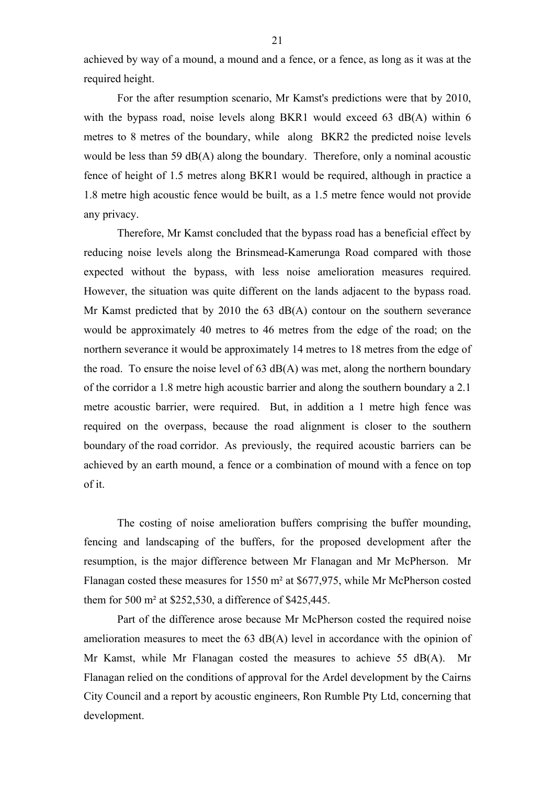achieved by way of a mound, a mound and a fence, or a fence, as long as it was at the required height.

For the after resumption scenario, Mr Kamst's predictions were that by 2010, with the bypass road, noise levels along BKR1 would exceed 63 dB(A) within 6 metres to 8 metres of the boundary, while along BKR2 the predicted noise levels would be less than 59 dB(A) along the boundary. Therefore, only a nominal acoustic fence of height of 1.5 metres along BKR1 would be required, although in practice a 1.8 metre high acoustic fence would be built, as a 1.5 metre fence would not provide any privacy.

Therefore, Mr Kamst concluded that the bypass road has a beneficial effect by reducing noise levels along the Brinsmead-Kamerunga Road compared with those expected without the bypass, with less noise amelioration measures required. However, the situation was quite different on the lands adjacent to the bypass road. Mr Kamst predicted that by 2010 the 63 dB(A) contour on the southern severance would be approximately 40 metres to 46 metres from the edge of the road; on the northern severance it would be approximately 14 metres to 18 metres from the edge of the road. To ensure the noise level of 63 dB(A) was met, along the northern boundary of the corridor a 1.8 metre high acoustic barrier and along the southern boundary a 2.1 metre acoustic barrier, were required. But, in addition a 1 metre high fence was required on the overpass, because the road alignment is closer to the southern boundary of the road corridor. As previously, the required acoustic barriers can be achieved by an earth mound, a fence or a combination of mound with a fence on top of it.

The costing of noise amelioration buffers comprising the buffer mounding, fencing and landscaping of the buffers, for the proposed development after the resumption, is the major difference between Mr Flanagan and Mr McPherson. Mr Flanagan costed these measures for 1550 m² at \$677,975, while Mr McPherson costed them for 500 m² at \$252,530, a difference of \$425,445.

Part of the difference arose because Mr McPherson costed the required noise amelioration measures to meet the 63 dB(A) level in accordance with the opinion of Mr Kamst, while Mr Flanagan costed the measures to achieve 55 dB(A). Mr Flanagan relied on the conditions of approval for the Ardel development by the Cairns City Council and a report by acoustic engineers, Ron Rumble Pty Ltd, concerning that development.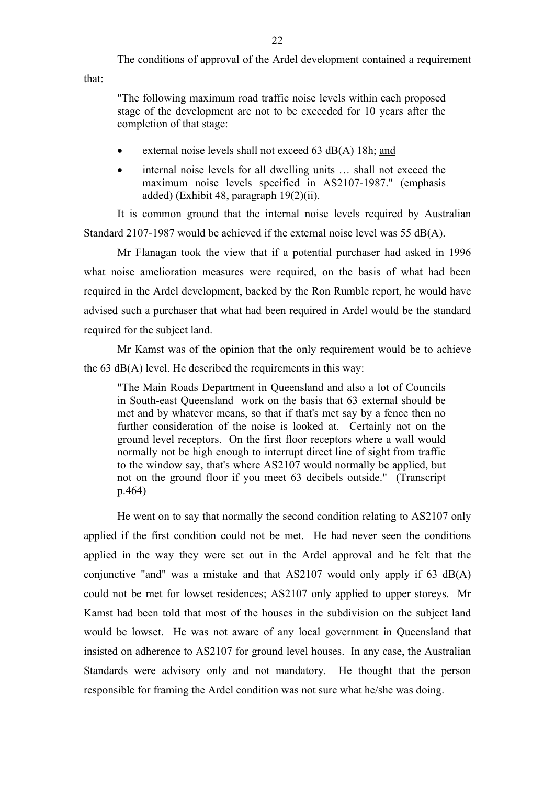The conditions of approval of the Ardel development contained a requirement that:

"The following maximum road traffic noise levels within each proposed stage of the development are not to be exceeded for 10 years after the completion of that stage:

- external noise levels shall not exceed 63 dB(A) 18h; and
- internal noise levels for all dwelling units ... shall not exceed the maximum noise levels specified in AS2107-1987." (emphasis added) (Exhibit 48, paragraph 19(2)(ii).

It is common ground that the internal noise levels required by Australian Standard 2107-1987 would be achieved if the external noise level was 55 dB(A).

Mr Flanagan took the view that if a potential purchaser had asked in 1996 what noise amelioration measures were required, on the basis of what had been required in the Ardel development, backed by the Ron Rumble report, he would have advised such a purchaser that what had been required in Ardel would be the standard required for the subject land.

Mr Kamst was of the opinion that the only requirement would be to achieve the 63 dB(A) level. He described the requirements in this way:

"The Main Roads Department in Queensland and also a lot of Councils in South-east Queensland work on the basis that 63 external should be met and by whatever means, so that if that's met say by a fence then no further consideration of the noise is looked at. Certainly not on the ground level receptors. On the first floor receptors where a wall would normally not be high enough to interrupt direct line of sight from traffic to the window say, that's where AS2107 would normally be applied, but not on the ground floor if you meet 63 decibels outside." (Transcript p.464)

He went on to say that normally the second condition relating to AS2107 only applied if the first condition could not be met. He had never seen the conditions applied in the way they were set out in the Ardel approval and he felt that the conjunctive "and" was a mistake and that AS2107 would only apply if 63 dB(A) could not be met for lowset residences; AS2107 only applied to upper storeys. Mr Kamst had been told that most of the houses in the subdivision on the subject land would be lowset. He was not aware of any local government in Queensland that insisted on adherence to AS2107 for ground level houses. In any case, the Australian Standards were advisory only and not mandatory. He thought that the person responsible for framing the Ardel condition was not sure what he/she was doing.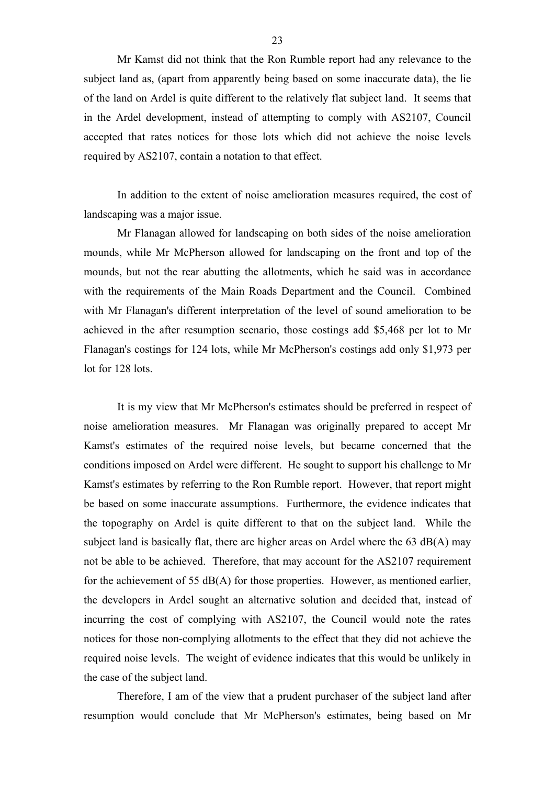Mr Kamst did not think that the Ron Rumble report had any relevance to the subject land as, (apart from apparently being based on some inaccurate data), the lie of the land on Ardel is quite different to the relatively flat subject land. It seems that in the Ardel development, instead of attempting to comply with AS2107, Council accepted that rates notices for those lots which did not achieve the noise levels required by AS2107, contain a notation to that effect.

In addition to the extent of noise amelioration measures required, the cost of landscaping was a major issue.

Mr Flanagan allowed for landscaping on both sides of the noise amelioration mounds, while Mr McPherson allowed for landscaping on the front and top of the mounds, but not the rear abutting the allotments, which he said was in accordance with the requirements of the Main Roads Department and the Council. Combined with Mr Flanagan's different interpretation of the level of sound amelioration to be achieved in the after resumption scenario, those costings add \$5,468 per lot to Mr Flanagan's costings for 124 lots, while Mr McPherson's costings add only \$1,973 per lot for 128 lots.

It is my view that Mr McPherson's estimates should be preferred in respect of noise amelioration measures. Mr Flanagan was originally prepared to accept Mr Kamst's estimates of the required noise levels, but became concerned that the conditions imposed on Ardel were different. He sought to support his challenge to Mr Kamst's estimates by referring to the Ron Rumble report. However, that report might be based on some inaccurate assumptions. Furthermore, the evidence indicates that the topography on Ardel is quite different to that on the subject land. While the subject land is basically flat, there are higher areas on Ardel where the 63  $dB(A)$  may not be able to be achieved. Therefore, that may account for the AS2107 requirement for the achievement of 55  $dB(A)$  for those properties. However, as mentioned earlier, the developers in Ardel sought an alternative solution and decided that, instead of incurring the cost of complying with AS2107, the Council would note the rates notices for those non-complying allotments to the effect that they did not achieve the required noise levels. The weight of evidence indicates that this would be unlikely in the case of the subject land.

Therefore, I am of the view that a prudent purchaser of the subject land after resumption would conclude that Mr McPherson's estimates, being based on Mr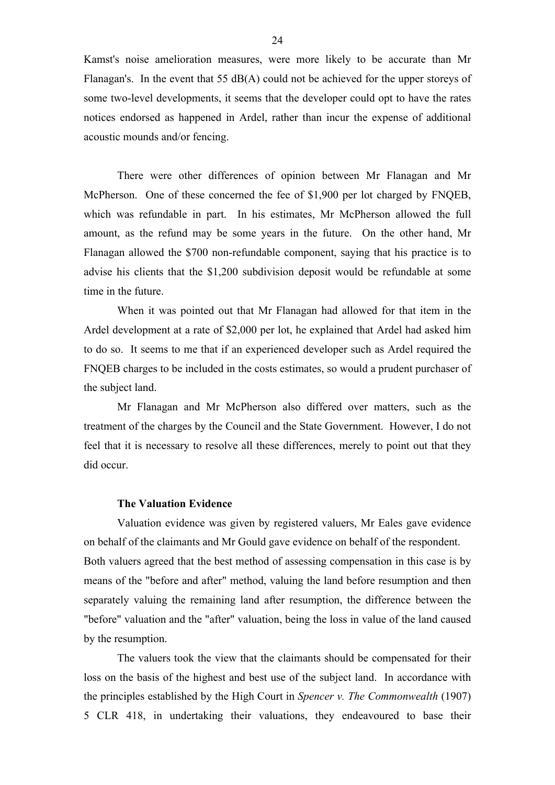Kamst's noise amelioration measures, were more likely to be accurate than Mr Flanagan's. In the event that  $55 \text{ dB}(A)$  could not be achieved for the upper storeys of some two-level developments, it seems that the developer could opt to have the rates notices endorsed as happened in Ardel, rather than incur the expense of additional acoustic mounds and/or fencing.

There were other differences of opinion between Mr Flanagan and Mr McPherson. One of these concerned the fee of \$1,900 per lot charged by FNQEB, which was refundable in part. In his estimates, Mr McPherson allowed the full amount, as the refund may be some years in the future. On the other hand, Mr Flanagan allowed the \$700 non-refundable component, saying that his practice is to advise his clients that the \$1,200 subdivision deposit would be refundable at some time in the future.

When it was pointed out that Mr Flanagan had allowed for that item in the Ardel development at a rate of \$2,000 per lot, he explained that Ardel had asked him to do so. It seems to me that if an experienced developer such as Ardel required the FNQEB charges to be included in the costs estimates, so would a prudent purchaser of the subject land.

Mr Flanagan and Mr McPherson also differed over matters, such as the treatment of the charges by the Council and the State Government. However, I do not feel that it is necessary to resolve all these differences, merely to point out that they did occur.

#### **The Valuation Evidence**

Valuation evidence was given by registered valuers, Mr Eales gave evidence on behalf of the claimants and Mr Gould gave evidence on behalf of the respondent. Both valuers agreed that the best method of assessing compensation in this case is by means of the "before and after" method, valuing the land before resumption and then separately valuing the remaining land after resumption, the difference between the "before" valuation and the "after" valuation, being the loss in value of the land caused by the resumption.

The valuers took the view that the claimants should be compensated for their loss on the basis of the highest and best use of the subject land. In accordance with the principles established by the High Court in *Spencer v. The Commonwealth* (1907) 5 CLR 418, in undertaking their valuations, they endeavoured to base their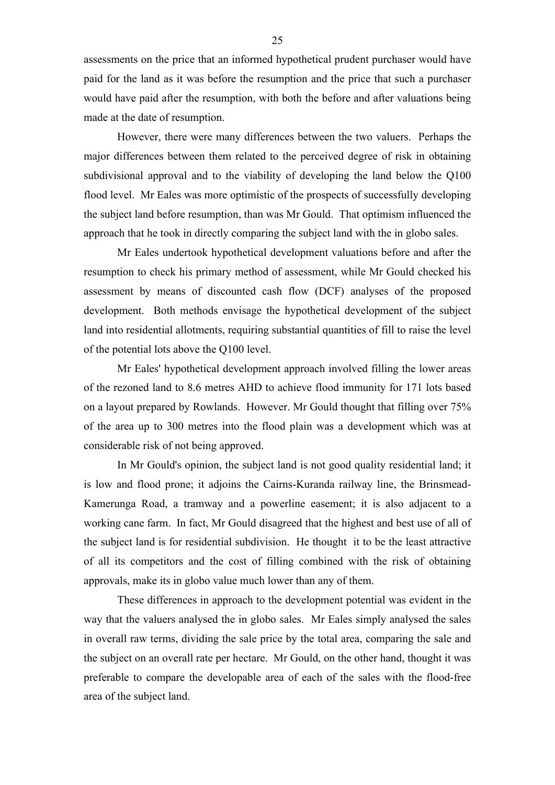assessments on the price that an informed hypothetical prudent purchaser would have paid for the land as it was before the resumption and the price that such a purchaser would have paid after the resumption, with both the before and after valuations being made at the date of resumption.

However, there were many differences between the two valuers. Perhaps the major differences between them related to the perceived degree of risk in obtaining subdivisional approval and to the viability of developing the land below the Q100 flood level. Mr Eales was more optimistic of the prospects of successfully developing the subject land before resumption, than was Mr Gould. That optimism influenced the approach that he took in directly comparing the subject land with the in globo sales.

Mr Eales undertook hypothetical development valuations before and after the resumption to check his primary method of assessment, while Mr Gould checked his assessment by means of discounted cash flow (DCF) analyses of the proposed development. Both methods envisage the hypothetical development of the subject land into residential allotments, requiring substantial quantities of fill to raise the level of the potential lots above the Q100 level.

Mr Eales' hypothetical development approach involved filling the lower areas of the rezoned land to 8.6 metres AHD to achieve flood immunity for 171 lots based on a layout prepared by Rowlands. However. Mr Gould thought that filling over 75% of the area up to 300 metres into the flood plain was a development which was at considerable risk of not being approved.

In Mr Gould's opinion, the subject land is not good quality residential land; it is low and flood prone; it adjoins the Cairns-Kuranda railway line, the Brinsmead-Kamerunga Road, a tramway and a powerline easement; it is also adjacent to a working cane farm. In fact, Mr Gould disagreed that the highest and best use of all of the subject land is for residential subdivision. He thought it to be the least attractive of all its competitors and the cost of filling combined with the risk of obtaining approvals, make its in globo value much lower than any of them.

These differences in approach to the development potential was evident in the way that the valuers analysed the in globo sales. Mr Eales simply analysed the sales in overall raw terms, dividing the sale price by the total area, comparing the sale and the subject on an overall rate per hectare. Mr Gould, on the other hand, thought it was preferable to compare the developable area of each of the sales with the flood-free area of the subject land.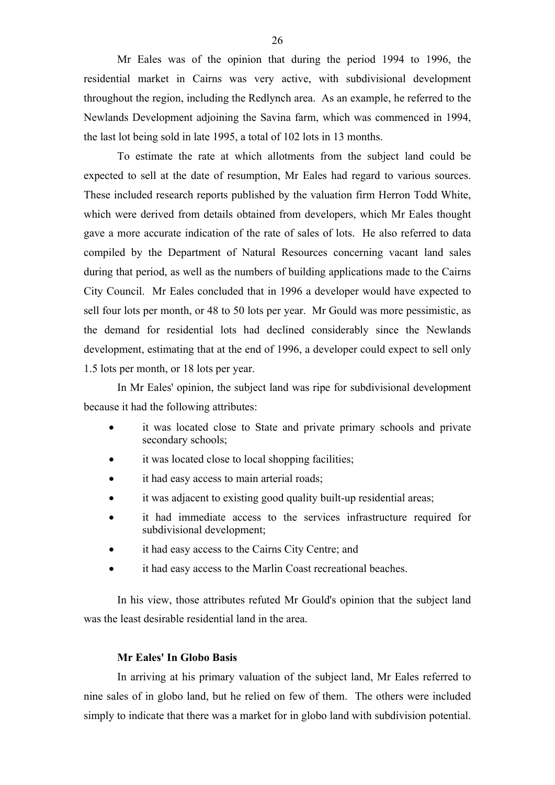Mr Eales was of the opinion that during the period 1994 to 1996, the residential market in Cairns was very active, with subdivisional development throughout the region, including the Redlynch area. As an example, he referred to the Newlands Development adjoining the Savina farm, which was commenced in 1994, the last lot being sold in late 1995, a total of 102 lots in 13 months.

To estimate the rate at which allotments from the subject land could be expected to sell at the date of resumption, Mr Eales had regard to various sources. These included research reports published by the valuation firm Herron Todd White, which were derived from details obtained from developers, which Mr Eales thought gave a more accurate indication of the rate of sales of lots. He also referred to data compiled by the Department of Natural Resources concerning vacant land sales during that period, as well as the numbers of building applications made to the Cairns City Council. Mr Eales concluded that in 1996 a developer would have expected to sell four lots per month, or 48 to 50 lots per year. Mr Gould was more pessimistic, as the demand for residential lots had declined considerably since the Newlands development, estimating that at the end of 1996, a developer could expect to sell only 1.5 lots per month, or 18 lots per year.

In Mr Eales' opinion, the subject land was ripe for subdivisional development because it had the following attributes:

- it was located close to State and private primary schools and private secondary schools;
- it was located close to local shopping facilities;
- it had easy access to main arterial roads;
- it was adjacent to existing good quality built-up residential areas;
- it had immediate access to the services infrastructure required for subdivisional development;
- it had easy access to the Cairns City Centre; and
- it had easy access to the Marlin Coast recreational beaches.

In his view, those attributes refuted Mr Gould's opinion that the subject land was the least desirable residential land in the area.

# **Mr Eales' In Globo Basis**

In arriving at his primary valuation of the subject land, Mr Eales referred to nine sales of in globo land, but he relied on few of them. The others were included simply to indicate that there was a market for in globo land with subdivision potential.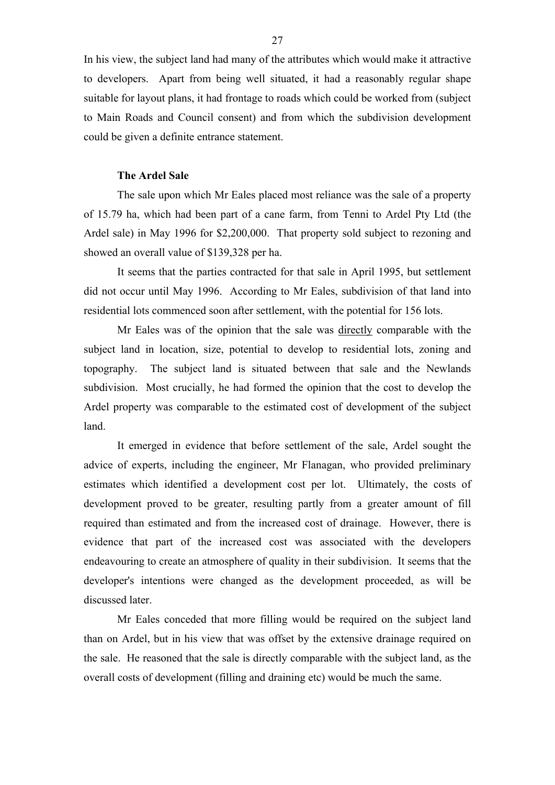In his view, the subject land had many of the attributes which would make it attractive to developers. Apart from being well situated, it had a reasonably regular shape suitable for layout plans, it had frontage to roads which could be worked from (subject to Main Roads and Council consent) and from which the subdivision development could be given a definite entrance statement.

#### **The Ardel Sale**

The sale upon which Mr Eales placed most reliance was the sale of a property of 15.79 ha, which had been part of a cane farm, from Tenni to Ardel Pty Ltd (the Ardel sale) in May 1996 for \$2,200,000. That property sold subject to rezoning and showed an overall value of \$139,328 per ha.

It seems that the parties contracted for that sale in April 1995, but settlement did not occur until May 1996. According to Mr Eales, subdivision of that land into residential lots commenced soon after settlement, with the potential for 156 lots.

Mr Eales was of the opinion that the sale was directly comparable with the subject land in location, size, potential to develop to residential lots, zoning and topography. The subject land is situated between that sale and the Newlands subdivision. Most crucially, he had formed the opinion that the cost to develop the Ardel property was comparable to the estimated cost of development of the subject land.

It emerged in evidence that before settlement of the sale, Ardel sought the advice of experts, including the engineer, Mr Flanagan, who provided preliminary estimates which identified a development cost per lot. Ultimately, the costs of development proved to be greater, resulting partly from a greater amount of fill required than estimated and from the increased cost of drainage. However, there is evidence that part of the increased cost was associated with the developers endeavouring to create an atmosphere of quality in their subdivision. It seems that the developer's intentions were changed as the development proceeded, as will be discussed later.

Mr Eales conceded that more filling would be required on the subject land than on Ardel, but in his view that was offset by the extensive drainage required on the sale. He reasoned that the sale is directly comparable with the subject land, as the overall costs of development (filling and draining etc) would be much the same.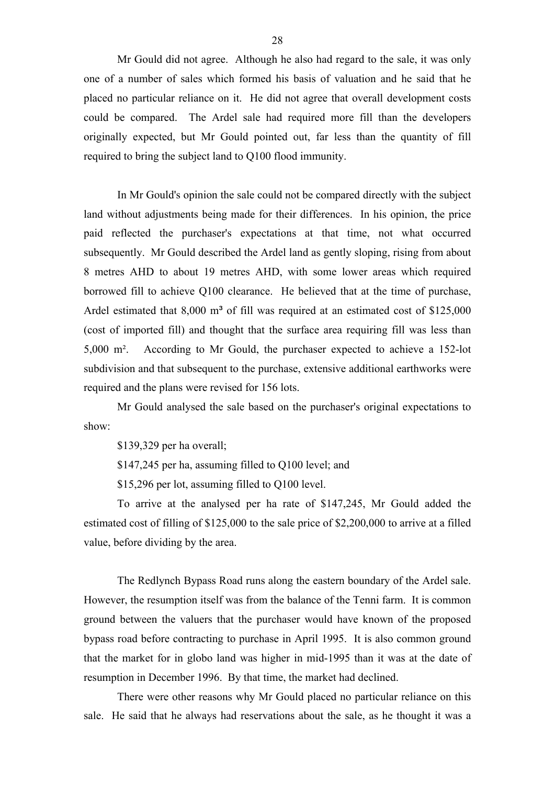Mr Gould did not agree. Although he also had regard to the sale, it was only one of a number of sales which formed his basis of valuation and he said that he placed no particular reliance on it. He did not agree that overall development costs could be compared. The Ardel sale had required more fill than the developers originally expected, but Mr Gould pointed out, far less than the quantity of fill required to bring the subject land to Q100 flood immunity.

In Mr Gould's opinion the sale could not be compared directly with the subject land without adjustments being made for their differences. In his opinion, the price paid reflected the purchaser's expectations at that time, not what occurred subsequently. Mr Gould described the Ardel land as gently sloping, rising from about 8 metres AHD to about 19 metres AHD, with some lower areas which required borrowed fill to achieve Q100 clearance. He believed that at the time of purchase, Ardel estimated that  $8,000$  m<sup>3</sup> of fill was required at an estimated cost of  $$125,000$ (cost of imported fill) and thought that the surface area requiring fill was less than 5,000 m². According to Mr Gould, the purchaser expected to achieve a 152-lot subdivision and that subsequent to the purchase, extensive additional earthworks were required and the plans were revised for 156 lots.

Mr Gould analysed the sale based on the purchaser's original expectations to show:

\$139,329 per ha overall;

\$147,245 per ha, assuming filled to Q100 level; and

\$15,296 per lot, assuming filled to Q100 level.

To arrive at the analysed per ha rate of \$147,245, Mr Gould added the estimated cost of filling of \$125,000 to the sale price of \$2,200,000 to arrive at a filled value, before dividing by the area.

The Redlynch Bypass Road runs along the eastern boundary of the Ardel sale. However, the resumption itself was from the balance of the Tenni farm. It is common ground between the valuers that the purchaser would have known of the proposed bypass road before contracting to purchase in April 1995. It is also common ground that the market for in globo land was higher in mid-1995 than it was at the date of resumption in December 1996. By that time, the market had declined.

There were other reasons why Mr Gould placed no particular reliance on this sale. He said that he always had reservations about the sale, as he thought it was a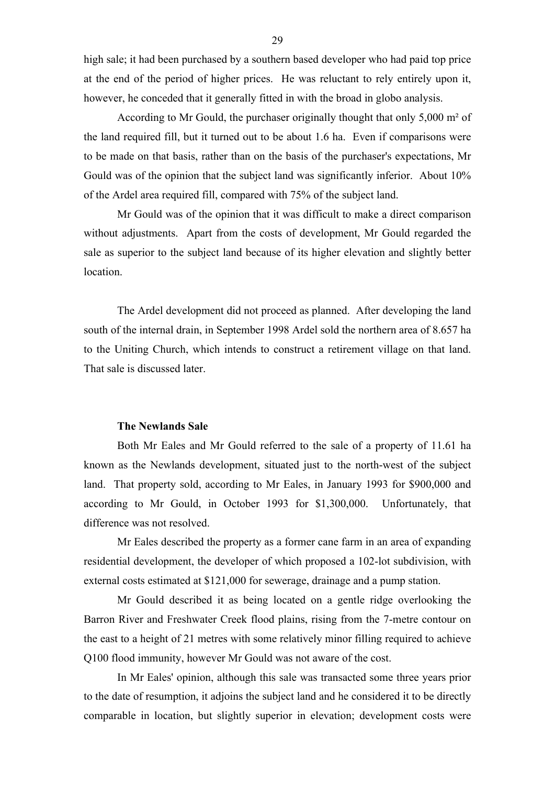high sale; it had been purchased by a southern based developer who had paid top price at the end of the period of higher prices. He was reluctant to rely entirely upon it, however, he conceded that it generally fitted in with the broad in globo analysis.

According to Mr Gould, the purchaser originally thought that only 5,000 m² of the land required fill, but it turned out to be about 1.6 ha. Even if comparisons were to be made on that basis, rather than on the basis of the purchaser's expectations, Mr Gould was of the opinion that the subject land was significantly inferior. About 10% of the Ardel area required fill, compared with 75% of the subject land.

Mr Gould was of the opinion that it was difficult to make a direct comparison without adjustments. Apart from the costs of development, Mr Gould regarded the sale as superior to the subject land because of its higher elevation and slightly better location.

The Ardel development did not proceed as planned. After developing the land south of the internal drain, in September 1998 Ardel sold the northern area of 8.657 ha to the Uniting Church, which intends to construct a retirement village on that land. That sale is discussed later.

## **The Newlands Sale**

Both Mr Eales and Mr Gould referred to the sale of a property of 11.61 ha known as the Newlands development, situated just to the north-west of the subject land. That property sold, according to Mr Eales, in January 1993 for \$900,000 and according to Mr Gould, in October 1993 for \$1,300,000. Unfortunately, that difference was not resolved.

Mr Eales described the property as a former cane farm in an area of expanding residential development, the developer of which proposed a 102-lot subdivision, with external costs estimated at \$121,000 for sewerage, drainage and a pump station.

Mr Gould described it as being located on a gentle ridge overlooking the Barron River and Freshwater Creek flood plains, rising from the 7-metre contour on the east to a height of 21 metres with some relatively minor filling required to achieve Q100 flood immunity, however Mr Gould was not aware of the cost.

In Mr Eales' opinion, although this sale was transacted some three years prior to the date of resumption, it adjoins the subject land and he considered it to be directly comparable in location, but slightly superior in elevation; development costs were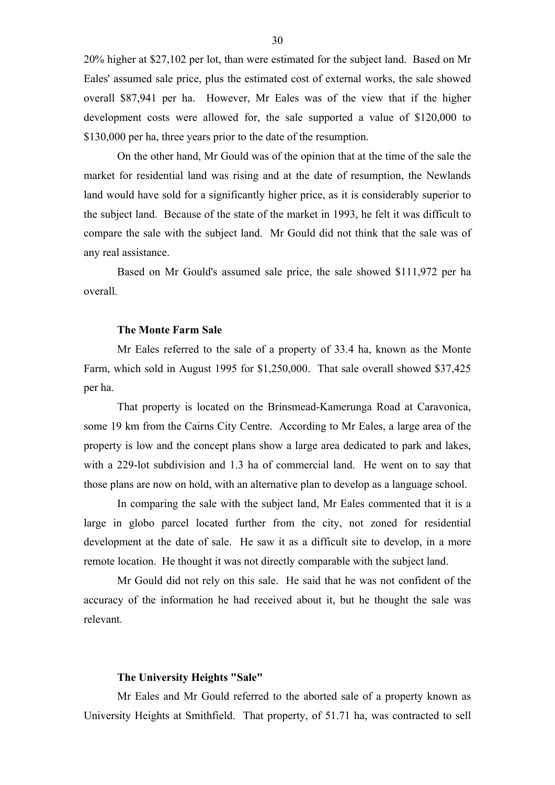20% higher at \$27,102 per lot, than were estimated for the subject land. Based on Mr Eales' assumed sale price, plus the estimated cost of external works, the sale showed overall \$87,941 per ha. However, Mr Eales was of the view that if the higher development costs were allowed for, the sale supported a value of \$120,000 to \$130,000 per ha, three years prior to the date of the resumption.

On the other hand, Mr Gould was of the opinion that at the time of the sale the market for residential land was rising and at the date of resumption, the Newlands land would have sold for a significantly higher price, as it is considerably superior to the subject land. Because of the state of the market in 1993, he felt it was difficult to compare the sale with the subject land. Mr Gould did not think that the sale was of any real assistance.

Based on Mr Gould's assumed sale price, the sale showed \$111,972 per ha overall.

#### **The Monte Farm Sale**

Mr Eales referred to the sale of a property of 33.4 ha, known as the Monte Farm, which sold in August 1995 for \$1,250,000. That sale overall showed \$37,425 per ha.

That property is located on the Brinsmead-Kamerunga Road at Caravonica, some 19 km from the Cairns City Centre. According to Mr Eales, a large area of the property is low and the concept plans show a large area dedicated to park and lakes, with a 229-lot subdivision and 1.3 ha of commercial land. He went on to say that those plans are now on hold, with an alternative plan to develop as a language school.

In comparing the sale with the subject land, Mr Eales commented that it is a large in globo parcel located further from the city, not zoned for residential development at the date of sale. He saw it as a difficult site to develop, in a more remote location. He thought it was not directly comparable with the subject land.

Mr Gould did not rely on this sale. He said that he was not confident of the accuracy of the information he had received about it, but he thought the sale was relevant.

#### **The University Heights "Sale"**

Mr Eales and Mr Gould referred to the aborted sale of a property known as University Heights at Smithfield. That property, of 51.71 ha, was contracted to sell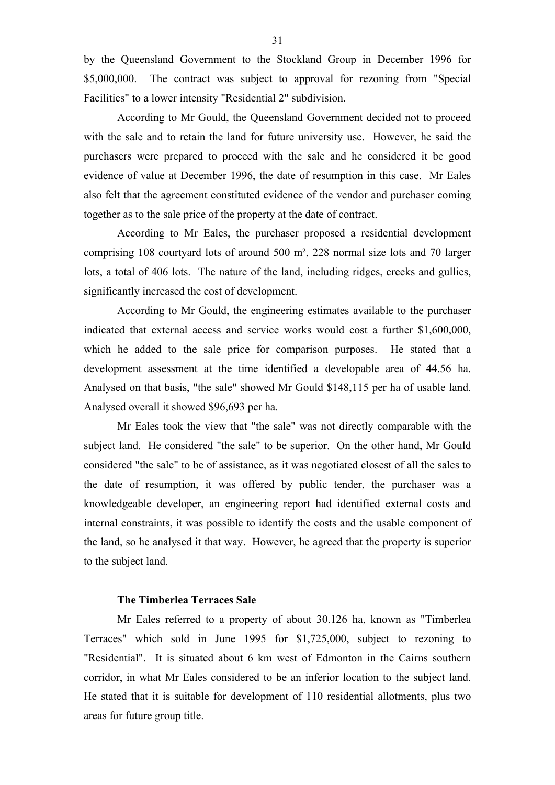by the Queensland Government to the Stockland Group in December 1996 for \$5,000,000. The contract was subject to approval for rezoning from "Special Facilities" to a lower intensity "Residential 2" subdivision.

According to Mr Gould, the Queensland Government decided not to proceed with the sale and to retain the land for future university use. However, he said the purchasers were prepared to proceed with the sale and he considered it be good evidence of value at December 1996, the date of resumption in this case. Mr Eales also felt that the agreement constituted evidence of the vendor and purchaser coming together as to the sale price of the property at the date of contract.

According to Mr Eales, the purchaser proposed a residential development comprising 108 courtyard lots of around 500 m², 228 normal size lots and 70 larger lots, a total of 406 lots. The nature of the land, including ridges, creeks and gullies, significantly increased the cost of development.

According to Mr Gould, the engineering estimates available to the purchaser indicated that external access and service works would cost a further \$1,600,000, which he added to the sale price for comparison purposes. He stated that a development assessment at the time identified a developable area of 44.56 ha. Analysed on that basis, "the sale" showed Mr Gould \$148,115 per ha of usable land. Analysed overall it showed \$96,693 per ha.

Mr Eales took the view that "the sale" was not directly comparable with the subject land. He considered "the sale" to be superior. On the other hand, Mr Gould considered "the sale" to be of assistance, as it was negotiated closest of all the sales to the date of resumption, it was offered by public tender, the purchaser was a knowledgeable developer, an engineering report had identified external costs and internal constraints, it was possible to identify the costs and the usable component of the land, so he analysed it that way. However, he agreed that the property is superior to the subject land.

# **The Timberlea Terraces Sale**

Mr Eales referred to a property of about 30.126 ha, known as "Timberlea Terraces" which sold in June 1995 for \$1,725,000, subject to rezoning to "Residential". It is situated about 6 km west of Edmonton in the Cairns southern corridor, in what Mr Eales considered to be an inferior location to the subject land. He stated that it is suitable for development of 110 residential allotments, plus two areas for future group title.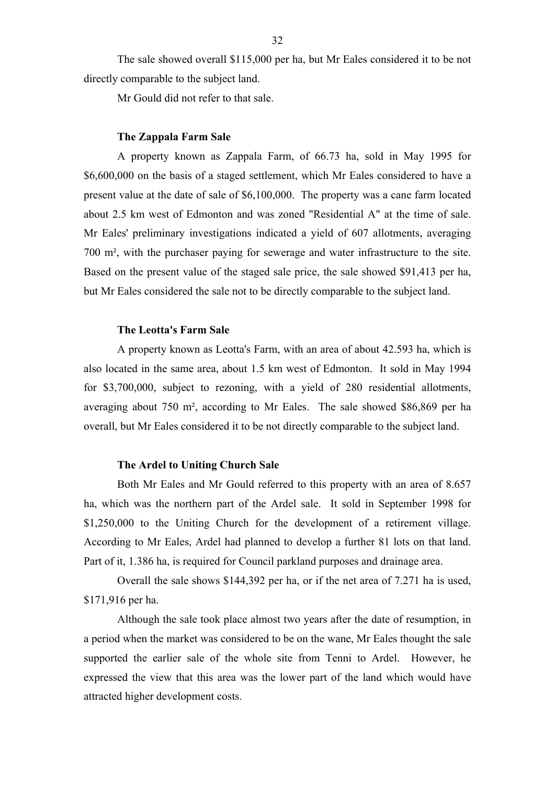The sale showed overall \$115,000 per ha, but Mr Eales considered it to be not directly comparable to the subject land.

Mr Gould did not refer to that sale.

#### **The Zappala Farm Sale**

A property known as Zappala Farm, of 66.73 ha, sold in May 1995 for \$6,600,000 on the basis of a staged settlement, which Mr Eales considered to have a present value at the date of sale of \$6,100,000. The property was a cane farm located about 2.5 km west of Edmonton and was zoned "Residential A" at the time of sale. Mr Eales' preliminary investigations indicated a yield of 607 allotments, averaging 700 m², with the purchaser paying for sewerage and water infrastructure to the site. Based on the present value of the staged sale price, the sale showed \$91,413 per ha, but Mr Eales considered the sale not to be directly comparable to the subject land.

#### **The Leotta's Farm Sale**

A property known as Leotta's Farm, with an area of about 42.593 ha, which is also located in the same area, about 1.5 km west of Edmonton. It sold in May 1994 for \$3,700,000, subject to rezoning, with a yield of 280 residential allotments, averaging about 750 m², according to Mr Eales. The sale showed \$86,869 per ha overall, but Mr Eales considered it to be not directly comparable to the subject land.

#### **The Ardel to Uniting Church Sale**

Both Mr Eales and Mr Gould referred to this property with an area of 8.657 ha, which was the northern part of the Ardel sale. It sold in September 1998 for \$1,250,000 to the Uniting Church for the development of a retirement village. According to Mr Eales, Ardel had planned to develop a further 81 lots on that land. Part of it, 1.386 ha, is required for Council parkland purposes and drainage area.

Overall the sale shows \$144,392 per ha, or if the net area of 7.271 ha is used, \$171,916 per ha.

Although the sale took place almost two years after the date of resumption, in a period when the market was considered to be on the wane, Mr Eales thought the sale supported the earlier sale of the whole site from Tenni to Ardel. However, he expressed the view that this area was the lower part of the land which would have attracted higher development costs.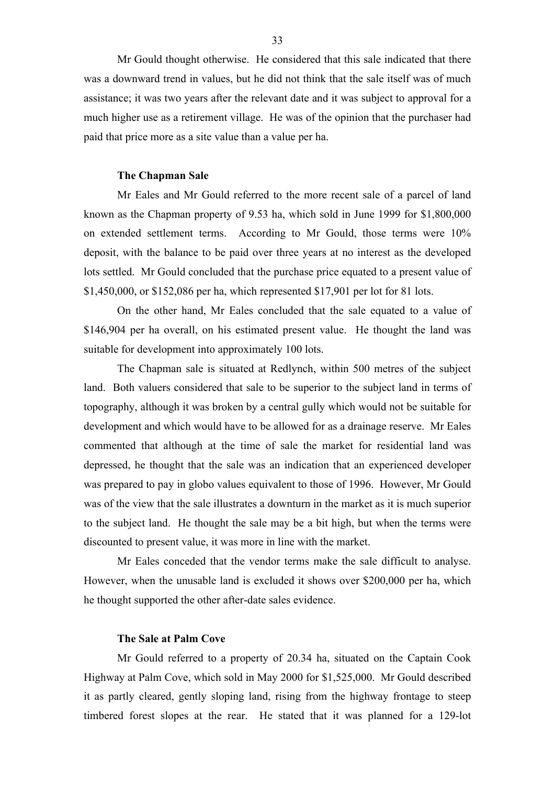Mr Gould thought otherwise. He considered that this sale indicated that there was a downward trend in values, but he did not think that the sale itself was of much assistance; it was two years after the relevant date and it was subject to approval for a much higher use as a retirement village. He was of the opinion that the purchaser had paid that price more as a site value than a value per ha.

#### **The Chapman Sale**

Mr Eales and Mr Gould referred to the more recent sale of a parcel of land known as the Chapman property of 9.53 ha, which sold in June 1999 for \$1,800,000 on extended settlement terms. According to Mr Gould, those terms were 10% deposit, with the balance to be paid over three years at no interest as the developed lots settled. Mr Gould concluded that the purchase price equated to a present value of \$1,450,000, or \$152,086 per ha, which represented \$17,901 per lot for 81 lots.

On the other hand, Mr Eales concluded that the sale equated to a value of \$146,904 per ha overall, on his estimated present value. He thought the land was suitable for development into approximately 100 lots.

The Chapman sale is situated at Redlynch, within 500 metres of the subject land. Both valuers considered that sale to be superior to the subject land in terms of topography, although it was broken by a central gully which would not be suitable for development and which would have to be allowed for as a drainage reserve. Mr Eales commented that although at the time of sale the market for residential land was depressed, he thought that the sale was an indication that an experienced developer was prepared to pay in globo values equivalent to those of 1996. However, Mr Gould was of the view that the sale illustrates a downturn in the market as it is much superior to the subject land. He thought the sale may be a bit high, but when the terms were discounted to present value, it was more in line with the market.

Mr Eales conceded that the vendor terms make the sale difficult to analyse. However, when the unusable land is excluded it shows over \$200,000 per ha, which he thought supported the other after-date sales evidence.

# **The Sale at Palm Cove**

Mr Gould referred to a property of 20.34 ha, situated on the Captain Cook Highway at Palm Cove, which sold in May 2000 for \$1,525,000. Mr Gould described it as partly cleared, gently sloping land, rising from the highway frontage to steep timbered forest slopes at the rear. He stated that it was planned for a 129-lot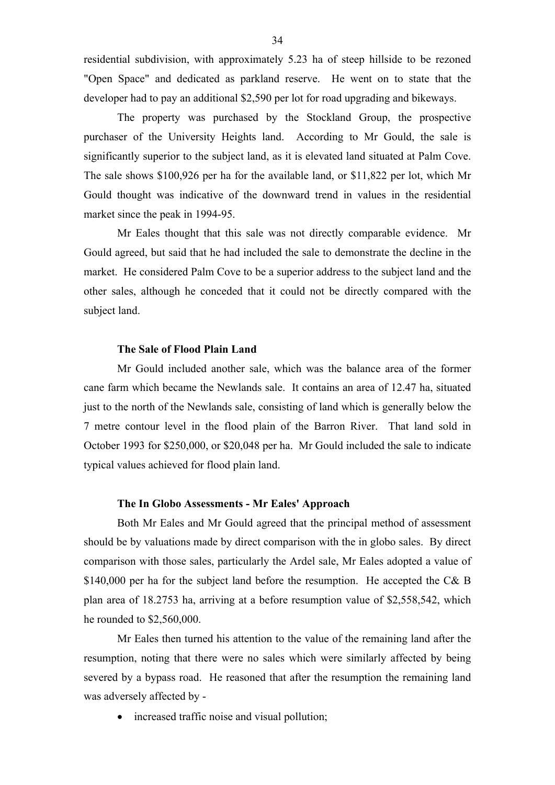residential subdivision, with approximately 5.23 ha of steep hillside to be rezoned "Open Space" and dedicated as parkland reserve. He went on to state that the developer had to pay an additional \$2,590 per lot for road upgrading and bikeways.

The property was purchased by the Stockland Group, the prospective purchaser of the University Heights land. According to Mr Gould, the sale is significantly superior to the subject land, as it is elevated land situated at Palm Cove. The sale shows \$100,926 per ha for the available land, or \$11,822 per lot, which Mr Gould thought was indicative of the downward trend in values in the residential market since the peak in 1994-95.

Mr Eales thought that this sale was not directly comparable evidence. Mr Gould agreed, but said that he had included the sale to demonstrate the decline in the market. He considered Palm Cove to be a superior address to the subject land and the other sales, although he conceded that it could not be directly compared with the subject land.

#### **The Sale of Flood Plain Land**

Mr Gould included another sale, which was the balance area of the former cane farm which became the Newlands sale. It contains an area of 12.47 ha, situated just to the north of the Newlands sale, consisting of land which is generally below the 7 metre contour level in the flood plain of the Barron River. That land sold in October 1993 for \$250,000, or \$20,048 per ha. Mr Gould included the sale to indicate typical values achieved for flood plain land.

#### **The In Globo Assessments - Mr Eales' Approach**

Both Mr Eales and Mr Gould agreed that the principal method of assessment should be by valuations made by direct comparison with the in globo sales. By direct comparison with those sales, particularly the Ardel sale, Mr Eales adopted a value of \$140,000 per ha for the subject land before the resumption. He accepted the C& B plan area of 18.2753 ha, arriving at a before resumption value of \$2,558,542, which he rounded to \$2,560,000.

Mr Eales then turned his attention to the value of the remaining land after the resumption, noting that there were no sales which were similarly affected by being severed by a bypass road. He reasoned that after the resumption the remaining land was adversely affected by -

• increased traffic noise and visual pollution;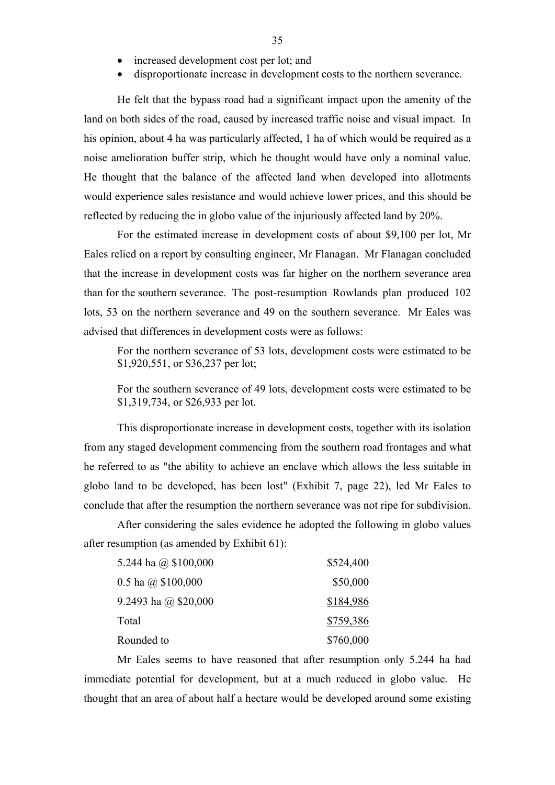- increased development cost per lot; and
- disproportionate increase in development costs to the northern severance.

He felt that the bypass road had a significant impact upon the amenity of the land on both sides of the road, caused by increased traffic noise and visual impact. In his opinion, about 4 ha was particularly affected. 1 ha of which would be required as a noise amelioration buffer strip, which he thought would have only a nominal value. He thought that the balance of the affected land when developed into allotments would experience sales resistance and would achieve lower prices, and this should be reflected by reducing the in globo value of the injuriously affected land by 20%.

For the estimated increase in development costs of about \$9,100 per lot, Mr Eales relied on a report by consulting engineer, Mr Flanagan. Mr Flanagan concluded that the increase in development costs was far higher on the northern severance area than for the southern severance. The post-resumption Rowlands plan produced 102 lots, 53 on the northern severance and 49 on the southern severance. Mr Eales was advised that differences in development costs were as follows:

For the northern severance of 53 lots, development costs were estimated to be \$1,920,551, or \$36,237 per lot;

For the southern severance of 49 lots, development costs were estimated to be \$1,319,734, or \$26,933 per lot.

This disproportionate increase in development costs, together with its isolation from any staged development commencing from the southern road frontages and what he referred to as "the ability to achieve an enclave which allows the less suitable in globo land to be developed, has been lost" (Exhibit 7, page 22), led Mr Eales to conclude that after the resumption the northern severance was not ripe for subdivision.

After considering the sales evidence he adopted the following in globo values after resumption (as amended by Exhibit 61):

| 5.244 ha @ $$100,000$  | \$524,400 |
|------------------------|-----------|
| 0.5 ha $(a)$ \$100,000 | \$50,000  |
| 9.2493 ha @ $$20,000$  | \$184,986 |
| Total                  | \$759,386 |
| Rounded to             | \$760,000 |

Mr Eales seems to have reasoned that after resumption only 5.244 ha had immediate potential for development, but at a much reduced in globo value. He thought that an area of about half a hectare would be developed around some existing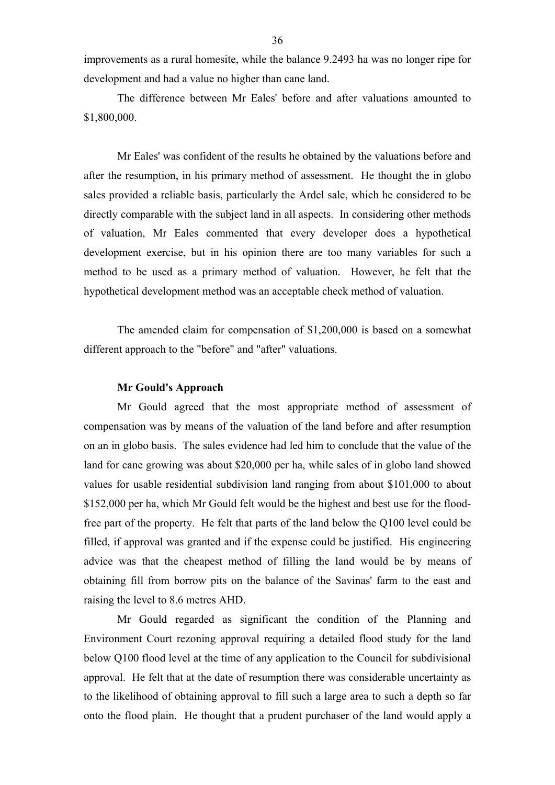improvements as a rural homesite, while the balance 9.2493 ha was no longer ripe for development and had a value no higher than cane land.

The difference between Mr Eales' before and after valuations amounted to \$1,800,000.

Mr Eales' was confident of the results he obtained by the valuations before and after the resumption, in his primary method of assessment. He thought the in globo sales provided a reliable basis, particularly the Ardel sale, which he considered to be directly comparable with the subject land in all aspects. In considering other methods of valuation, Mr Eales commented that every developer does a hypothetical development exercise, but in his opinion there are too many variables for such a method to be used as a primary method of valuation. However, he felt that the hypothetical development method was an acceptable check method of valuation.

The amended claim for compensation of \$1,200,000 is based on a somewhat different approach to the "before" and "after" valuations.

#### **Mr Gould's Approach**

Mr Gould agreed that the most appropriate method of assessment of compensation was by means of the valuation of the land before and after resumption on an in globo basis. The sales evidence had led him to conclude that the value of the land for cane growing was about \$20,000 per ha, while sales of in globo land showed values for usable residential subdivision land ranging from about \$101,000 to about \$152,000 per ha, which Mr Gould felt would be the highest and best use for the floodfree part of the property. He felt that parts of the land below the Q100 level could be filled, if approval was granted and if the expense could be justified. His engineering advice was that the cheapest method of filling the land would be by means of obtaining fill from borrow pits on the balance of the Savinas' farm to the east and raising the level to 8.6 metres AHD.

Mr Gould regarded as significant the condition of the Planning and Environment Court rezoning approval requiring a detailed flood study for the land below Q100 flood level at the time of any application to the Council for subdivisional approval. He felt that at the date of resumption there was considerable uncertainty as to the likelihood of obtaining approval to fill such a large area to such a depth so far onto the flood plain. He thought that a prudent purchaser of the land would apply a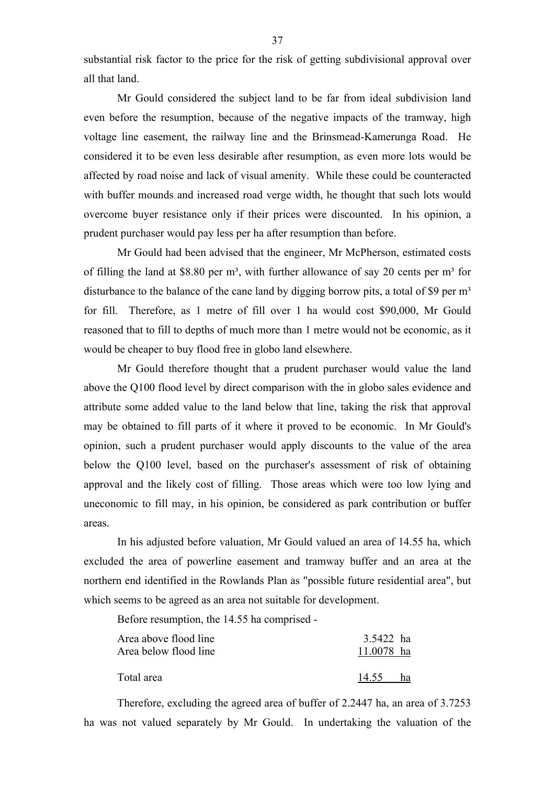substantial risk factor to the price for the risk of getting subdivisional approval over all that land.

Mr Gould considered the subject land to be far from ideal subdivision land even before the resumption, because of the negative impacts of the tramway, high voltage line easement, the railway line and the Brinsmead-Kamerunga Road. He considered it to be even less desirable after resumption, as even more lots would be affected by road noise and lack of visual amenity. While these could be counteracted with buffer mounds and increased road verge width, he thought that such lots would overcome buyer resistance only if their prices were discounted. In his opinion, a prudent purchaser would pay less per ha after resumption than before.

Mr Gould had been advised that the engineer, Mr McPherson, estimated costs of filling the land at \$8.80 per  $m^3$ , with further allowance of say 20 cents per  $m^3$  for disturbance to the balance of the cane land by digging borrow pits, a total of \$9 per  $m<sup>3</sup>$ for fill. Therefore, as 1 metre of fill over 1 ha would cost \$90,000, Mr Gould reasoned that to fill to depths of much more than 1 metre would not be economic, as it would be cheaper to buy flood free in globo land elsewhere.

Mr Gould therefore thought that a prudent purchaser would value the land above the Q100 flood level by direct comparison with the in globo sales evidence and attribute some added value to the land below that line, taking the risk that approval may be obtained to fill parts of it where it proved to be economic. In Mr Gould's opinion, such a prudent purchaser would apply discounts to the value of the area below the Q100 level, based on the purchaser's assessment of risk of obtaining approval and the likely cost of filling. Those areas which were too low lying and uneconomic to fill may, in his opinion, be considered as park contribution or buffer areas.

In his adjusted before valuation, Mr Gould valued an area of 14.55 ha, which excluded the area of powerline easement and tramway buffer and an area at the northern end identified in the Rowlands Plan as "possible future residential area", but which seems to be agreed as an area not suitable for development.

Before resumption, the 14.55 ha comprised -

| Area above flood line<br>Area below flood line | 3.5422 ha<br>11.0078 ha |    |
|------------------------------------------------|-------------------------|----|
| Total area                                     | 14.55                   | ha |

Therefore, excluding the agreed area of buffer of 2.2447 ha, an area of 3.7253 ha was not valued separately by Mr Gould. In undertaking the valuation of the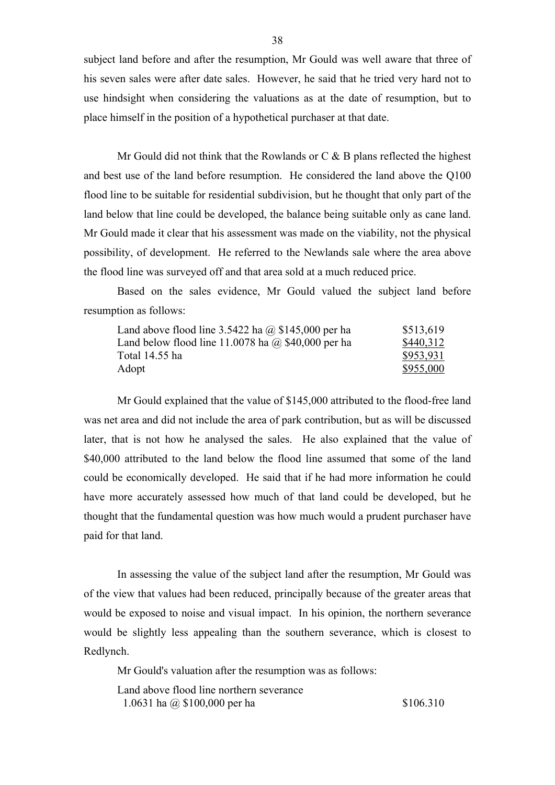subject land before and after the resumption, Mr Gould was well aware that three of his seven sales were after date sales. However, he said that he tried very hard not to use hindsight when considering the valuations as at the date of resumption, but to place himself in the position of a hypothetical purchaser at that date.

Mr Gould did not think that the Rowlands or  $C & B$  plans reflected the highest and best use of the land before resumption. He considered the land above the Q100 flood line to be suitable for residential subdivision, but he thought that only part of the land below that line could be developed, the balance being suitable only as cane land. Mr Gould made it clear that his assessment was made on the viability, not the physical possibility, of development. He referred to the Newlands sale where the area above the flood line was surveyed off and that area sold at a much reduced price.

Based on the sales evidence, Mr Gould valued the subject land before resumption as follows:

| Land above flood line $3.5422$ ha @ \$145,000 per ha      | \$513,619 |
|-----------------------------------------------------------|-----------|
| Land below flood line 11.0078 ha $\omega$ \$40,000 per ha | \$440,312 |
| Total 14.55 ha                                            | \$953,931 |
| Adopt                                                     | \$955,000 |

Mr Gould explained that the value of \$145,000 attributed to the flood-free land was net area and did not include the area of park contribution, but as will be discussed later, that is not how he analysed the sales. He also explained that the value of \$40,000 attributed to the land below the flood line assumed that some of the land could be economically developed. He said that if he had more information he could have more accurately assessed how much of that land could be developed, but he thought that the fundamental question was how much would a prudent purchaser have paid for that land.

In assessing the value of the subject land after the resumption, Mr Gould was of the view that values had been reduced, principally because of the greater areas that would be exposed to noise and visual impact. In his opinion, the northern severance would be slightly less appealing than the southern severance, which is closest to Redlynch.

Mr Gould's valuation after the resumption was as follows:

Land above flood line northern severance 1.0631 ha  $\omega$  \$100,000 per ha \$106.310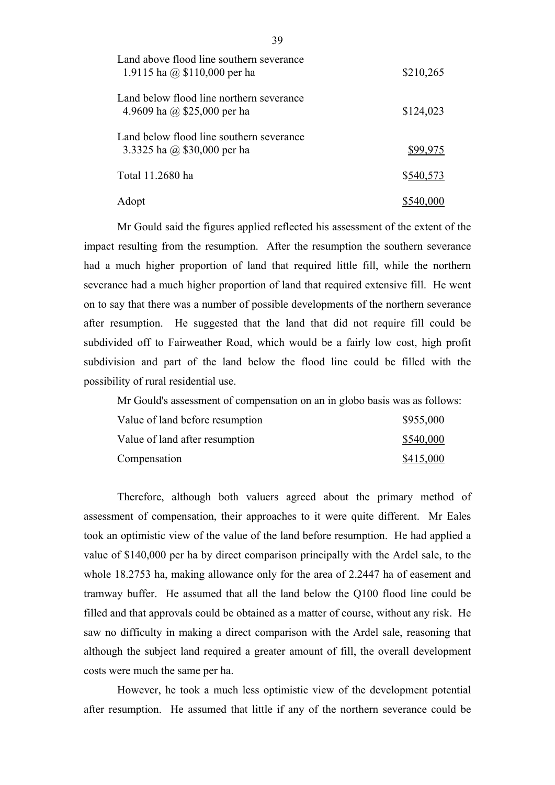| Land above flood line southern severance<br>1.9115 ha @ $$110,000$ per ha | \$210,265 |
|---------------------------------------------------------------------------|-----------|
| Land below flood line northern severance<br>4.9609 ha @ \$25,000 per ha   | \$124,023 |
| Land below flood line southern severance<br>3.3325 ha @ $$30,000$ per ha  | \$99,975  |
| Total 11.2680 ha                                                          | \$540,573 |
| Adopt                                                                     | \$540,000 |

Mr Gould said the figures applied reflected his assessment of the extent of the impact resulting from the resumption. After the resumption the southern severance had a much higher proportion of land that required little fill, while the northern severance had a much higher proportion of land that required extensive fill. He went on to say that there was a number of possible developments of the northern severance after resumption. He suggested that the land that did not require fill could be subdivided off to Fairweather Road, which would be a fairly low cost, high profit subdivision and part of the land below the flood line could be filled with the possibility of rural residential use.

Mr Gould's assessment of compensation on an in globo basis was as follows:

| Value of land before resumption | \$955,000 |
|---------------------------------|-----------|
| Value of land after resumption  | \$540,000 |
| Compensation                    | \$415,000 |

Therefore, although both valuers agreed about the primary method of assessment of compensation, their approaches to it were quite different. Mr Eales took an optimistic view of the value of the land before resumption. He had applied a value of \$140,000 per ha by direct comparison principally with the Ardel sale, to the whole 18.2753 ha, making allowance only for the area of 2.2447 ha of easement and tramway buffer. He assumed that all the land below the Q100 flood line could be filled and that approvals could be obtained as a matter of course, without any risk. He saw no difficulty in making a direct comparison with the Ardel sale, reasoning that although the subject land required a greater amount of fill, the overall development costs were much the same per ha.

However, he took a much less optimistic view of the development potential after resumption. He assumed that little if any of the northern severance could be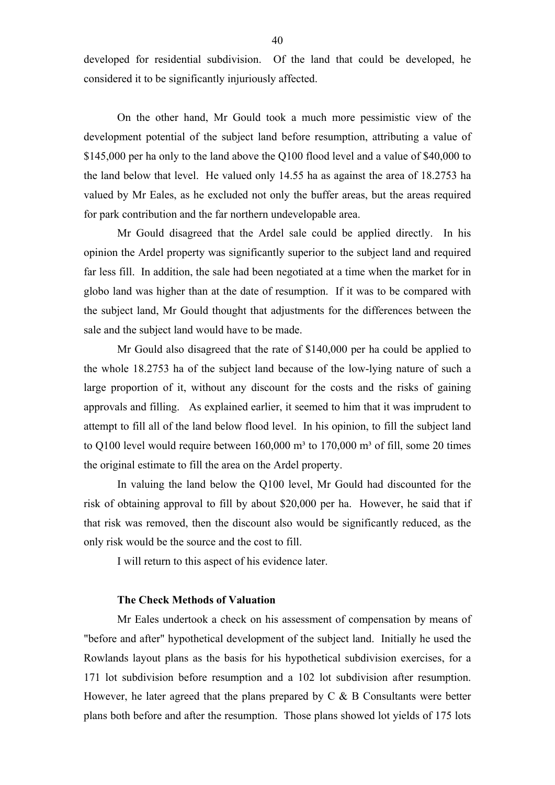developed for residential subdivision. Of the land that could be developed, he considered it to be significantly injuriously affected.

On the other hand, Mr Gould took a much more pessimistic view of the development potential of the subject land before resumption, attributing a value of \$145,000 per ha only to the land above the Q100 flood level and a value of \$40,000 to the land below that level. He valued only 14.55 ha as against the area of 18.2753 ha valued by Mr Eales, as he excluded not only the buffer areas, but the areas required for park contribution and the far northern undevelopable area.

Mr Gould disagreed that the Ardel sale could be applied directly. In his opinion the Ardel property was significantly superior to the subject land and required far less fill. In addition, the sale had been negotiated at a time when the market for in globo land was higher than at the date of resumption. If it was to be compared with the subject land, Mr Gould thought that adjustments for the differences between the sale and the subject land would have to be made.

Mr Gould also disagreed that the rate of \$140,000 per ha could be applied to the whole 18.2753 ha of the subject land because of the low-lying nature of such a large proportion of it, without any discount for the costs and the risks of gaining approvals and filling. As explained earlier, it seemed to him that it was imprudent to attempt to fill all of the land below flood level. In his opinion, to fill the subject land to  $Q100$  level would require between  $160,000$  m<sup>3</sup> to  $170,000$  m<sup>3</sup> of fill, some 20 times the original estimate to fill the area on the Ardel property.

In valuing the land below the Q100 level, Mr Gould had discounted for the risk of obtaining approval to fill by about \$20,000 per ha. However, he said that if that risk was removed, then the discount also would be significantly reduced, as the only risk would be the source and the cost to fill.

I will return to this aspect of his evidence later.

## **The Check Methods of Valuation**

Mr Eales undertook a check on his assessment of compensation by means of "before and after" hypothetical development of the subject land. Initially he used the Rowlands layout plans as the basis for his hypothetical subdivision exercises, for a 171 lot subdivision before resumption and a 102 lot subdivision after resumption. However, he later agreed that the plans prepared by  $C \& B$  Consultants were better plans both before and after the resumption. Those plans showed lot yields of 175 lots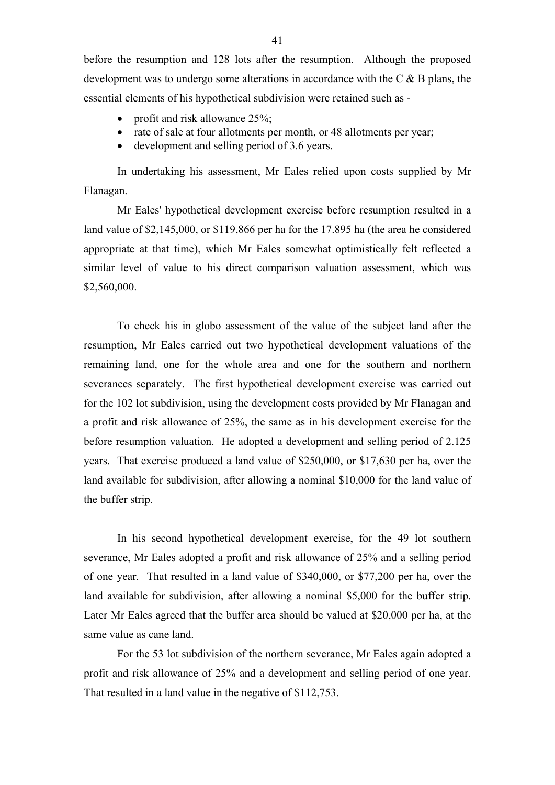before the resumption and 128 lots after the resumption. Although the proposed development was to undergo some alterations in accordance with the C & B plans, the essential elements of his hypothetical subdivision were retained such as -

- profit and risk allowance  $25\%$ ;
- rate of sale at four allotments per month, or 48 allotments per year;
- development and selling period of 3.6 years.

In undertaking his assessment, Mr Eales relied upon costs supplied by Mr Flanagan.

Mr Eales' hypothetical development exercise before resumption resulted in a land value of \$2,145,000, or \$119,866 per ha for the 17.895 ha (the area he considered appropriate at that time), which Mr Eales somewhat optimistically felt reflected a similar level of value to his direct comparison valuation assessment, which was \$2,560,000.

To check his in globo assessment of the value of the subject land after the resumption, Mr Eales carried out two hypothetical development valuations of the remaining land, one for the whole area and one for the southern and northern severances separately. The first hypothetical development exercise was carried out for the 102 lot subdivision, using the development costs provided by Mr Flanagan and a profit and risk allowance of 25%, the same as in his development exercise for the before resumption valuation. He adopted a development and selling period of 2.125 years. That exercise produced a land value of \$250,000, or \$17,630 per ha, over the land available for subdivision, after allowing a nominal \$10,000 for the land value of the buffer strip.

In his second hypothetical development exercise, for the 49 lot southern severance, Mr Eales adopted a profit and risk allowance of 25% and a selling period of one year. That resulted in a land value of \$340,000, or \$77,200 per ha, over the land available for subdivision, after allowing a nominal \$5,000 for the buffer strip. Later Mr Eales agreed that the buffer area should be valued at \$20,000 per ha, at the same value as cane land.

For the 53 lot subdivision of the northern severance, Mr Eales again adopted a profit and risk allowance of 25% and a development and selling period of one year. That resulted in a land value in the negative of \$112,753.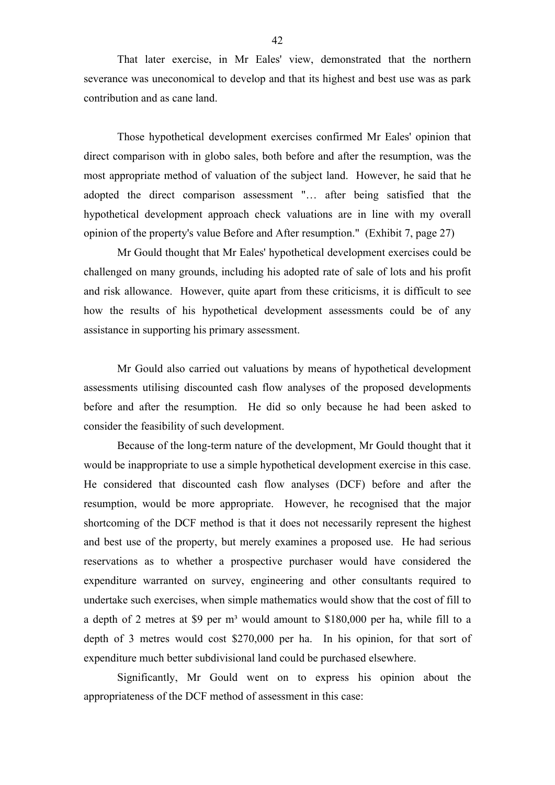That later exercise, in Mr Eales' view, demonstrated that the northern severance was uneconomical to develop and that its highest and best use was as park contribution and as cane land.

Those hypothetical development exercises confirmed Mr Eales' opinion that direct comparison with in globo sales, both before and after the resumption, was the most appropriate method of valuation of the subject land. However, he said that he adopted the direct comparison assessment "… after being satisfied that the hypothetical development approach check valuations are in line with my overall opinion of the property's value Before and After resumption." (Exhibit 7, page 27)

Mr Gould thought that Mr Eales' hypothetical development exercises could be challenged on many grounds, including his adopted rate of sale of lots and his profit and risk allowance. However, quite apart from these criticisms, it is difficult to see how the results of his hypothetical development assessments could be of any assistance in supporting his primary assessment.

Mr Gould also carried out valuations by means of hypothetical development assessments utilising discounted cash flow analyses of the proposed developments before and after the resumption. He did so only because he had been asked to consider the feasibility of such development.

Because of the long-term nature of the development, Mr Gould thought that it would be inappropriate to use a simple hypothetical development exercise in this case. He considered that discounted cash flow analyses (DCF) before and after the resumption, would be more appropriate. However, he recognised that the major shortcoming of the DCF method is that it does not necessarily represent the highest and best use of the property, but merely examines a proposed use. He had serious reservations as to whether a prospective purchaser would have considered the expenditure warranted on survey, engineering and other consultants required to undertake such exercises, when simple mathematics would show that the cost of fill to a depth of 2 metres at \$9 per m<sup>3</sup> would amount to \$180,000 per ha, while fill to a depth of 3 metres would cost \$270,000 per ha. In his opinion, for that sort of expenditure much better subdivisional land could be purchased elsewhere.

Significantly, Mr Gould went on to express his opinion about the appropriateness of the DCF method of assessment in this case: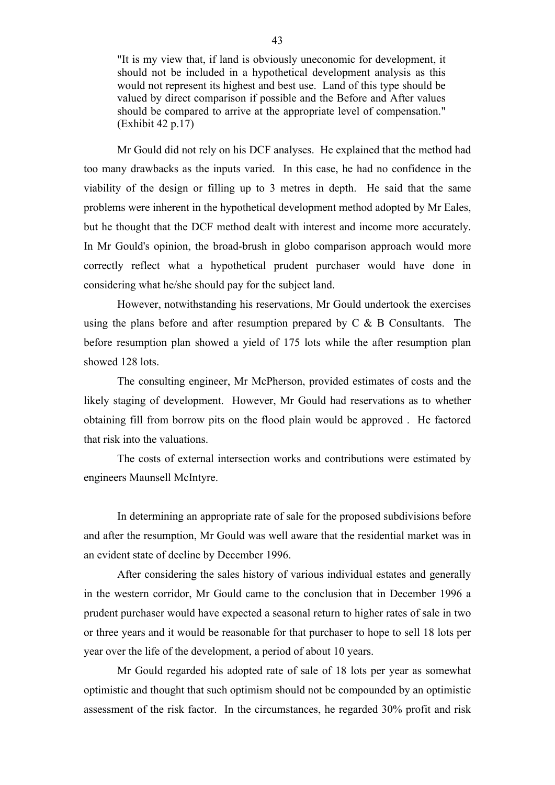"It is my view that, if land is obviously uneconomic for development, it should not be included in a hypothetical development analysis as this would not represent its highest and best use. Land of this type should be valued by direct comparison if possible and the Before and After values should be compared to arrive at the appropriate level of compensation." (Exhibit 42 p.17)

Mr Gould did not rely on his DCF analyses. He explained that the method had too many drawbacks as the inputs varied. In this case, he had no confidence in the viability of the design or filling up to 3 metres in depth. He said that the same problems were inherent in the hypothetical development method adopted by Mr Eales, but he thought that the DCF method dealt with interest and income more accurately. In Mr Gould's opinion, the broad-brush in globo comparison approach would more correctly reflect what a hypothetical prudent purchaser would have done in considering what he/she should pay for the subject land.

However, notwithstanding his reservations, Mr Gould undertook the exercises using the plans before and after resumption prepared by C & B Consultants. The before resumption plan showed a yield of 175 lots while the after resumption plan showed 128 lots.

The consulting engineer, Mr McPherson, provided estimates of costs and the likely staging of development. However, Mr Gould had reservations as to whether obtaining fill from borrow pits on the flood plain would be approved . He factored that risk into the valuations.

The costs of external intersection works and contributions were estimated by engineers Maunsell McIntyre.

In determining an appropriate rate of sale for the proposed subdivisions before and after the resumption, Mr Gould was well aware that the residential market was in an evident state of decline by December 1996.

After considering the sales history of various individual estates and generally in the western corridor, Mr Gould came to the conclusion that in December 1996 a prudent purchaser would have expected a seasonal return to higher rates of sale in two or three years and it would be reasonable for that purchaser to hope to sell 18 lots per year over the life of the development, a period of about 10 years.

Mr Gould regarded his adopted rate of sale of 18 lots per year as somewhat optimistic and thought that such optimism should not be compounded by an optimistic assessment of the risk factor. In the circumstances, he regarded 30% profit and risk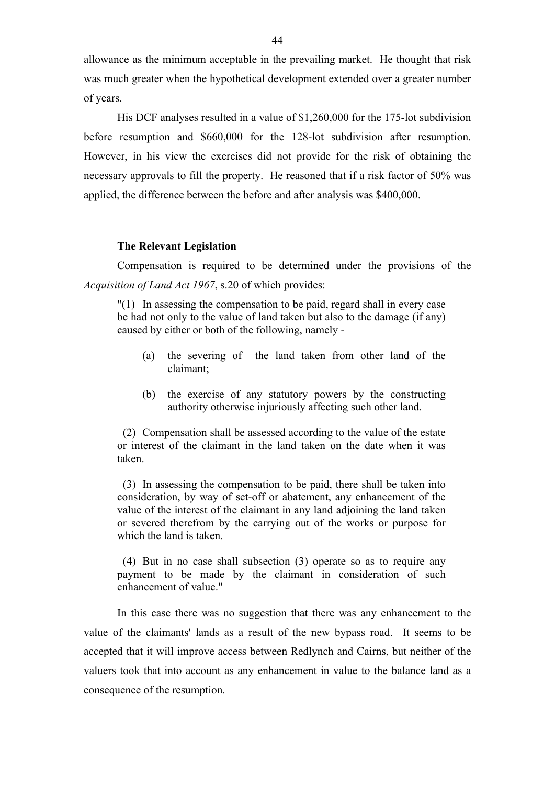allowance as the minimum acceptable in the prevailing market. He thought that risk was much greater when the hypothetical development extended over a greater number of years.

His DCF analyses resulted in a value of \$1,260,000 for the 175-lot subdivision before resumption and \$660,000 for the 128-lot subdivision after resumption. However, in his view the exercises did not provide for the risk of obtaining the necessary approvals to fill the property. He reasoned that if a risk factor of 50% was applied, the difference between the before and after analysis was \$400,000.

#### **The Relevant Legislation**

Compensation is required to be determined under the provisions of the *Acquisition of Land Act 1967*, s.20 of which provides:

"(1) In assessing the compensation to be paid, regard shall in every case be had not only to the value of land taken but also to the damage (if any) caused by either or both of the following, namely -

- (a) the severing of the land taken from other land of the claimant;
- (b) the exercise of any statutory powers by the constructing authority otherwise injuriously affecting such other land.

 (2) Compensation shall be assessed according to the value of the estate or interest of the claimant in the land taken on the date when it was taken.

 (3) In assessing the compensation to be paid, there shall be taken into consideration, by way of set-off or abatement, any enhancement of the value of the interest of the claimant in any land adjoining the land taken or severed therefrom by the carrying out of the works or purpose for which the land is taken.

 (4) But in no case shall subsection (3) operate so as to require any payment to be made by the claimant in consideration of such enhancement of value."

In this case there was no suggestion that there was any enhancement to the value of the claimants' lands as a result of the new bypass road. It seems to be accepted that it will improve access between Redlynch and Cairns, but neither of the valuers took that into account as any enhancement in value to the balance land as a consequence of the resumption.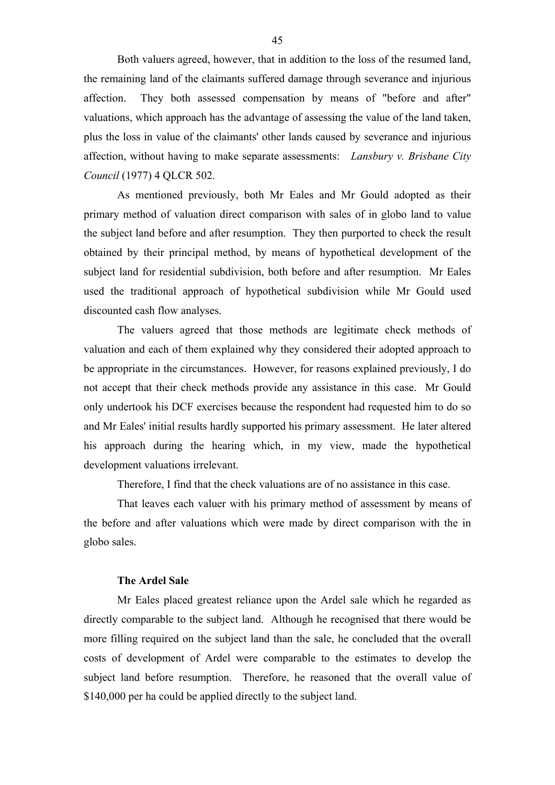Both valuers agreed, however, that in addition to the loss of the resumed land, the remaining land of the claimants suffered damage through severance and injurious affection. They both assessed compensation by means of "before and after" valuations, which approach has the advantage of assessing the value of the land taken, plus the loss in value of the claimants' other lands caused by severance and injurious affection, without having to make separate assessments: *Lansbury v. Brisbane City Council* (1977) 4 QLCR 502.

As mentioned previously, both Mr Eales and Mr Gould adopted as their primary method of valuation direct comparison with sales of in globo land to value the subject land before and after resumption. They then purported to check the result obtained by their principal method, by means of hypothetical development of the subject land for residential subdivision, both before and after resumption. Mr Eales used the traditional approach of hypothetical subdivision while Mr Gould used discounted cash flow analyses.

The valuers agreed that those methods are legitimate check methods of valuation and each of them explained why they considered their adopted approach to be appropriate in the circumstances. However, for reasons explained previously, I do not accept that their check methods provide any assistance in this case. Mr Gould only undertook his DCF exercises because the respondent had requested him to do so and Mr Eales' initial results hardly supported his primary assessment. He later altered his approach during the hearing which, in my view, made the hypothetical development valuations irrelevant.

Therefore, I find that the check valuations are of no assistance in this case.

That leaves each valuer with his primary method of assessment by means of the before and after valuations which were made by direct comparison with the in globo sales.

#### **The Ardel Sale**

Mr Eales placed greatest reliance upon the Ardel sale which he regarded as directly comparable to the subject land. Although he recognised that there would be more filling required on the subject land than the sale, he concluded that the overall costs of development of Ardel were comparable to the estimates to develop the subject land before resumption. Therefore, he reasoned that the overall value of \$140,000 per ha could be applied directly to the subject land.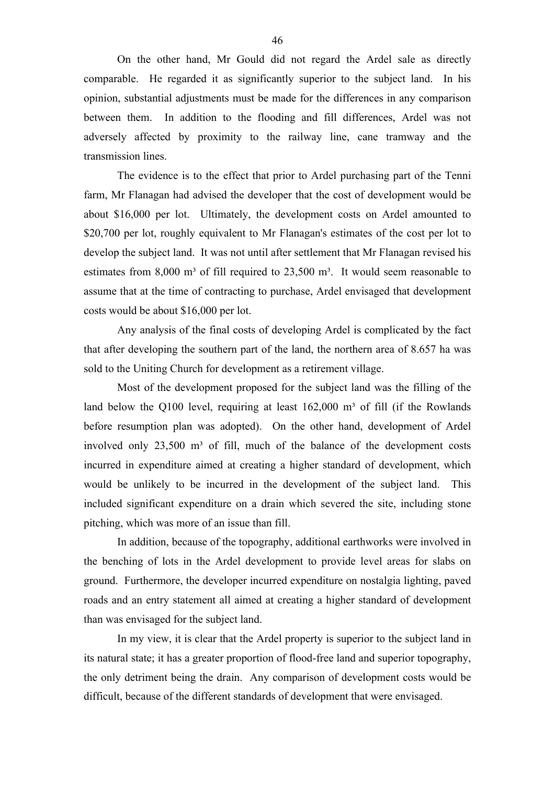On the other hand, Mr Gould did not regard the Ardel sale as directly comparable. He regarded it as significantly superior to the subject land. In his opinion, substantial adjustments must be made for the differences in any comparison between them. In addition to the flooding and fill differences, Ardel was not adversely affected by proximity to the railway line, cane tramway and the transmission lines.

The evidence is to the effect that prior to Ardel purchasing part of the Tenni farm, Mr Flanagan had advised the developer that the cost of development would be about \$16,000 per lot. Ultimately, the development costs on Ardel amounted to \$20,700 per lot, roughly equivalent to Mr Flanagan's estimates of the cost per lot to develop the subject land. It was not until after settlement that Mr Flanagan revised his estimates from  $8,000$  m<sup>3</sup> of fill required to  $23,500$  m<sup>3</sup>. It would seem reasonable to assume that at the time of contracting to purchase, Ardel envisaged that development costs would be about \$16,000 per lot.

Any analysis of the final costs of developing Ardel is complicated by the fact that after developing the southern part of the land, the northern area of 8.657 ha was sold to the Uniting Church for development as a retirement village.

Most of the development proposed for the subject land was the filling of the land below the Q100 level, requiring at least  $162,000$  m<sup>3</sup> of fill (if the Rowlands before resumption plan was adopted). On the other hand, development of Ardel involved only  $23,500$  m<sup>3</sup> of fill, much of the balance of the development costs incurred in expenditure aimed at creating a higher standard of development, which would be unlikely to be incurred in the development of the subject land. This included significant expenditure on a drain which severed the site, including stone pitching, which was more of an issue than fill.

In addition, because of the topography, additional earthworks were involved in the benching of lots in the Ardel development to provide level areas for slabs on ground. Furthermore, the developer incurred expenditure on nostalgia lighting, paved roads and an entry statement all aimed at creating a higher standard of development than was envisaged for the subject land.

In my view, it is clear that the Ardel property is superior to the subject land in its natural state; it has a greater proportion of flood-free land and superior topography, the only detriment being the drain. Any comparison of development costs would be difficult, because of the different standards of development that were envisaged.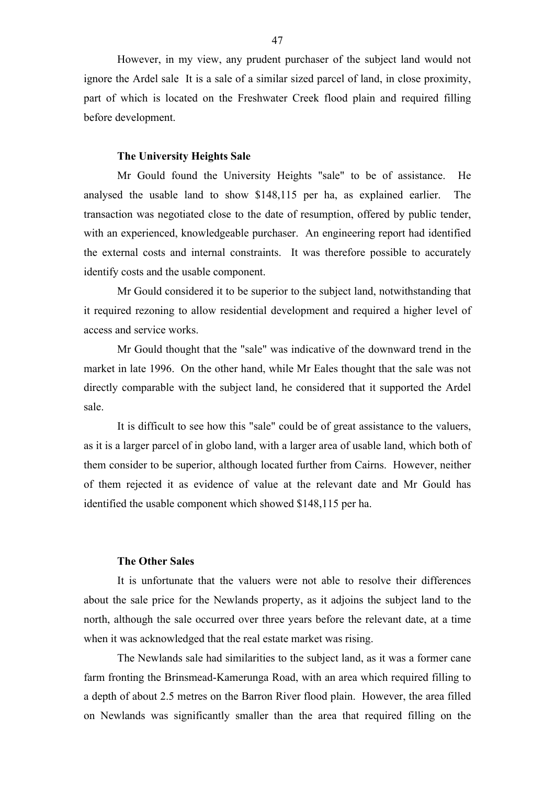However, in my view, any prudent purchaser of the subject land would not ignore the Ardel sale It is a sale of a similar sized parcel of land, in close proximity, part of which is located on the Freshwater Creek flood plain and required filling before development.

#### **The University Heights Sale**

Mr Gould found the University Heights "sale" to be of assistance. He analysed the usable land to show \$148,115 per ha, as explained earlier. The transaction was negotiated close to the date of resumption, offered by public tender, with an experienced, knowledgeable purchaser. An engineering report had identified the external costs and internal constraints. It was therefore possible to accurately identify costs and the usable component.

Mr Gould considered it to be superior to the subject land, notwithstanding that it required rezoning to allow residential development and required a higher level of access and service works.

Mr Gould thought that the "sale" was indicative of the downward trend in the market in late 1996. On the other hand, while Mr Eales thought that the sale was not directly comparable with the subject land, he considered that it supported the Ardel sale.

It is difficult to see how this "sale" could be of great assistance to the valuers, as it is a larger parcel of in globo land, with a larger area of usable land, which both of them consider to be superior, although located further from Cairns. However, neither of them rejected it as evidence of value at the relevant date and Mr Gould has identified the usable component which showed \$148,115 per ha.

## **The Other Sales**

It is unfortunate that the valuers were not able to resolve their differences about the sale price for the Newlands property, as it adjoins the subject land to the north, although the sale occurred over three years before the relevant date, at a time when it was acknowledged that the real estate market was rising.

The Newlands sale had similarities to the subject land, as it was a former cane farm fronting the Brinsmead-Kamerunga Road, with an area which required filling to a depth of about 2.5 metres on the Barron River flood plain. However, the area filled on Newlands was significantly smaller than the area that required filling on the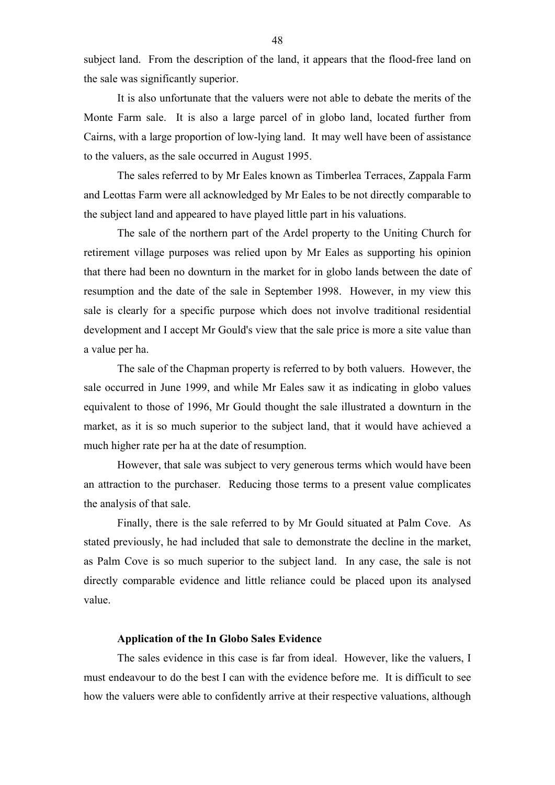subject land. From the description of the land, it appears that the flood-free land on the sale was significantly superior.

It is also unfortunate that the valuers were not able to debate the merits of the Monte Farm sale. It is also a large parcel of in globo land, located further from Cairns, with a large proportion of low-lying land. It may well have been of assistance to the valuers, as the sale occurred in August 1995.

The sales referred to by Mr Eales known as Timberlea Terraces, Zappala Farm and Leottas Farm were all acknowledged by Mr Eales to be not directly comparable to the subject land and appeared to have played little part in his valuations.

The sale of the northern part of the Ardel property to the Uniting Church for retirement village purposes was relied upon by Mr Eales as supporting his opinion that there had been no downturn in the market for in globo lands between the date of resumption and the date of the sale in September 1998. However, in my view this sale is clearly for a specific purpose which does not involve traditional residential development and I accept Mr Gould's view that the sale price is more a site value than a value per ha.

The sale of the Chapman property is referred to by both valuers. However, the sale occurred in June 1999, and while Mr Eales saw it as indicating in globo values equivalent to those of 1996, Mr Gould thought the sale illustrated a downturn in the market, as it is so much superior to the subject land, that it would have achieved a much higher rate per ha at the date of resumption.

However, that sale was subject to very generous terms which would have been an attraction to the purchaser. Reducing those terms to a present value complicates the analysis of that sale.

Finally, there is the sale referred to by Mr Gould situated at Palm Cove. As stated previously, he had included that sale to demonstrate the decline in the market, as Palm Cove is so much superior to the subject land. In any case, the sale is not directly comparable evidence and little reliance could be placed upon its analysed value.

#### **Application of the In Globo Sales Evidence**

The sales evidence in this case is far from ideal. However, like the valuers, I must endeavour to do the best I can with the evidence before me. It is difficult to see how the valuers were able to confidently arrive at their respective valuations, although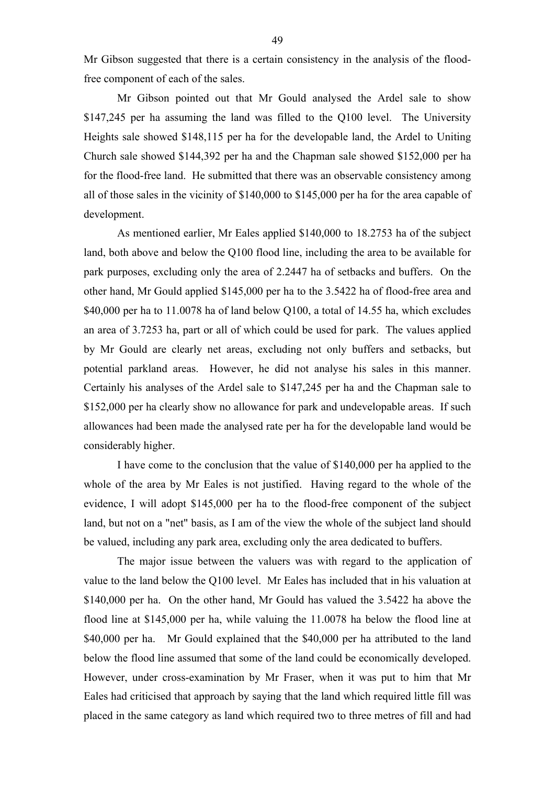Mr Gibson suggested that there is a certain consistency in the analysis of the floodfree component of each of the sales.

Mr Gibson pointed out that Mr Gould analysed the Ardel sale to show \$147,245 per ha assuming the land was filled to the Q100 level. The University Heights sale showed \$148,115 per ha for the developable land, the Ardel to Uniting Church sale showed \$144,392 per ha and the Chapman sale showed \$152,000 per ha for the flood-free land. He submitted that there was an observable consistency among all of those sales in the vicinity of \$140,000 to \$145,000 per ha for the area capable of development.

As mentioned earlier, Mr Eales applied \$140,000 to 18.2753 ha of the subject land, both above and below the Q100 flood line, including the area to be available for park purposes, excluding only the area of 2.2447 ha of setbacks and buffers. On the other hand, Mr Gould applied \$145,000 per ha to the 3.5422 ha of flood-free area and \$40,000 per ha to 11.0078 ha of land below Q100, a total of 14.55 ha, which excludes an area of 3.7253 ha, part or all of which could be used for park. The values applied by Mr Gould are clearly net areas, excluding not only buffers and setbacks, but potential parkland areas. However, he did not analyse his sales in this manner. Certainly his analyses of the Ardel sale to \$147,245 per ha and the Chapman sale to \$152,000 per ha clearly show no allowance for park and undevelopable areas. If such allowances had been made the analysed rate per ha for the developable land would be considerably higher.

I have come to the conclusion that the value of \$140,000 per ha applied to the whole of the area by Mr Eales is not justified. Having regard to the whole of the evidence, I will adopt \$145,000 per ha to the flood-free component of the subject land, but not on a "net" basis, as I am of the view the whole of the subject land should be valued, including any park area, excluding only the area dedicated to buffers.

The major issue between the valuers was with regard to the application of value to the land below the Q100 level. Mr Eales has included that in his valuation at \$140,000 per ha. On the other hand, Mr Gould has valued the 3.5422 ha above the flood line at \$145,000 per ha, while valuing the 11.0078 ha below the flood line at \$40,000 per ha. Mr Gould explained that the \$40,000 per ha attributed to the land below the flood line assumed that some of the land could be economically developed. However, under cross-examination by Mr Fraser, when it was put to him that Mr Eales had criticised that approach by saying that the land which required little fill was placed in the same category as land which required two to three metres of fill and had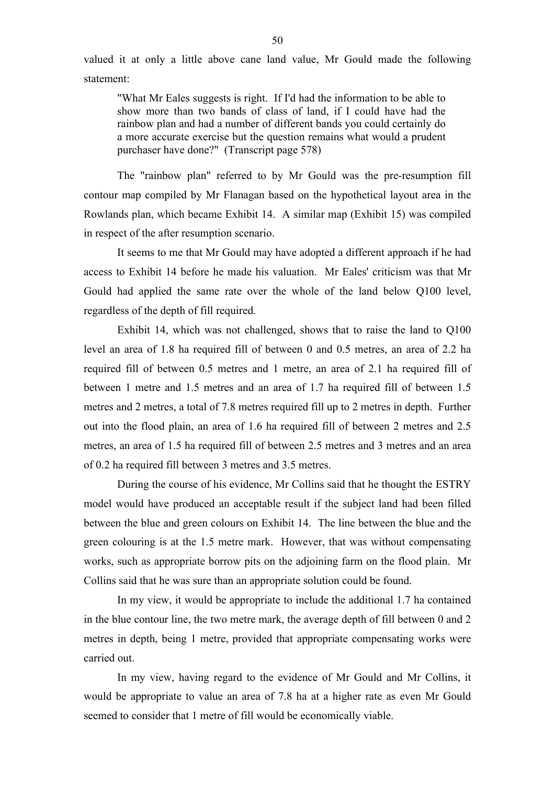valued it at only a little above cane land value, Mr Gould made the following statement:

"What Mr Eales suggests is right. If I'd had the information to be able to show more than two bands of class of land, if I could have had the rainbow plan and had a number of different bands you could certainly do a more accurate exercise but the question remains what would a prudent purchaser have done?" (Transcript page 578)

The "rainbow plan" referred to by Mr Gould was the pre-resumption fill contour map compiled by Mr Flanagan based on the hypothetical layout area in the Rowlands plan, which became Exhibit 14. A similar map (Exhibit 15) was compiled in respect of the after resumption scenario.

It seems to me that Mr Gould may have adopted a different approach if he had access to Exhibit 14 before he made his valuation. Mr Eales' criticism was that Mr Gould had applied the same rate over the whole of the land below Q100 level, regardless of the depth of fill required.

Exhibit 14, which was not challenged, shows that to raise the land to Q100 level an area of 1.8 ha required fill of between 0 and 0.5 metres, an area of 2.2 ha required fill of between 0.5 metres and 1 metre, an area of 2.1 ha required fill of between 1 metre and 1.5 metres and an area of 1.7 ha required fill of between 1.5 metres and 2 metres, a total of 7.8 metres required fill up to 2 metres in depth. Further out into the flood plain, an area of 1.6 ha required fill of between 2 metres and 2.5 metres, an area of 1.5 ha required fill of between 2.5 metres and 3 metres and an area of 0.2 ha required fill between 3 metres and 3.5 metres.

During the course of his evidence, Mr Collins said that he thought the ESTRY model would have produced an acceptable result if the subject land had been filled between the blue and green colours on Exhibit 14. The line between the blue and the green colouring is at the 1.5 metre mark. However, that was without compensating works, such as appropriate borrow pits on the adjoining farm on the flood plain. Mr Collins said that he was sure than an appropriate solution could be found.

In my view, it would be appropriate to include the additional 1.7 ha contained in the blue contour line, the two metre mark, the average depth of fill between 0 and 2 metres in depth, being 1 metre, provided that appropriate compensating works were carried out.

In my view, having regard to the evidence of Mr Gould and Mr Collins, it would be appropriate to value an area of 7.8 ha at a higher rate as even Mr Gould seemed to consider that 1 metre of fill would be economically viable.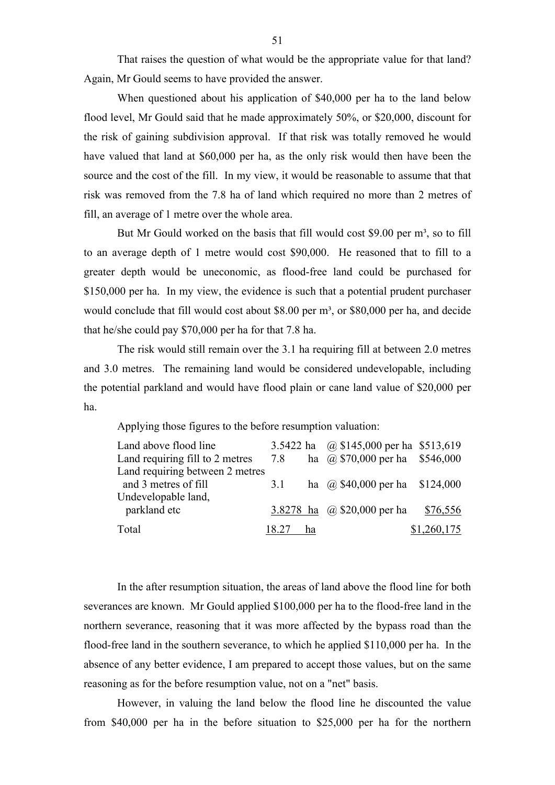That raises the question of what would be the appropriate value for that land? Again, Mr Gould seems to have provided the answer.

When questioned about his application of \$40,000 per ha to the land below flood level, Mr Gould said that he made approximately 50%, or \$20,000, discount for the risk of gaining subdivision approval. If that risk was totally removed he would have valued that land at \$60,000 per ha, as the only risk would then have been the source and the cost of the fill. In my view, it would be reasonable to assume that that risk was removed from the 7.8 ha of land which required no more than 2 metres of fill, an average of 1 metre over the whole area.

But Mr Gould worked on the basis that fill would cost \$9.00 per  $m^3$ , so to fill to an average depth of 1 metre would cost \$90,000. He reasoned that to fill to a greater depth would be uneconomic, as flood-free land could be purchased for \$150,000 per ha. In my view, the evidence is such that a potential prudent purchaser would conclude that fill would cost about \$8.00 per m<sup>3</sup>, or \$80,000 per ha, and decide that he/she could pay \$70,000 per ha for that 7.8 ha.

The risk would still remain over the 3.1 ha requiring fill at between 2.0 metres and 3.0 metres. The remaining land would be considered undevelopable, including the potential parkland and would have flood plain or cane land value of \$20,000 per ha.

Applying those figures to the before resumption valuation:

| Land above flood line           |       |    | 3.5422 ha $\omega$ \$145,000 per ha \$513,619 |             |
|---------------------------------|-------|----|-----------------------------------------------|-------------|
| Land requiring fill to 2 metres | 7.8   |    | ha $\omega$ \$70,000 per ha \$546,000         |             |
| Land requiring between 2 metres |       |    |                                               |             |
| and 3 metres of fill            | 3.1   |    | ha @ $$40,000$ per ha $$124,000$              |             |
| Undevelopable land,             |       |    |                                               |             |
| parkland etc                    |       |    | 3.8278 ha @ \$20,000 per ha                   | \$76,556    |
| Total                           | 18.27 | ha |                                               | \$1,260,175 |

In the after resumption situation, the areas of land above the flood line for both severances are known. Mr Gould applied \$100,000 per ha to the flood-free land in the northern severance, reasoning that it was more affected by the bypass road than the flood-free land in the southern severance, to which he applied \$110,000 per ha. In the absence of any better evidence, I am prepared to accept those values, but on the same reasoning as for the before resumption value, not on a "net" basis.

However, in valuing the land below the flood line he discounted the value from \$40,000 per ha in the before situation to \$25,000 per ha for the northern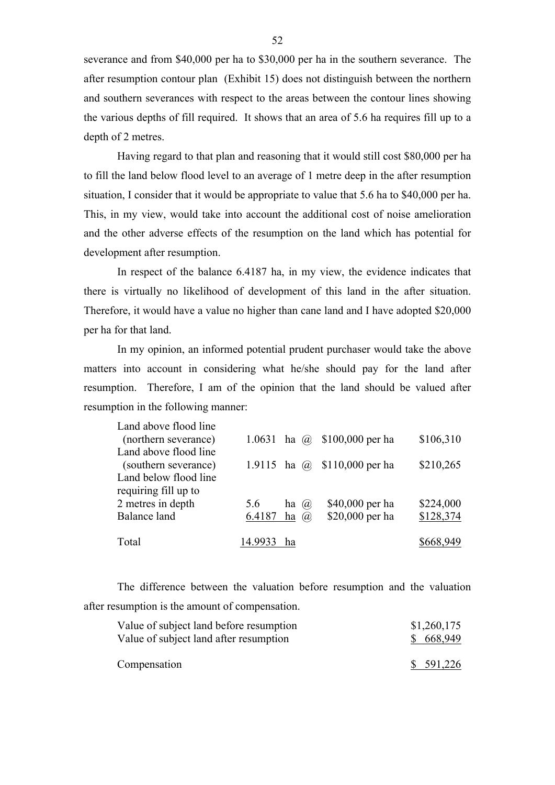severance and from \$40,000 per ha to \$30,000 per ha in the southern severance. The after resumption contour plan (Exhibit 15) does not distinguish between the northern and southern severances with respect to the areas between the contour lines showing the various depths of fill required. It shows that an area of 5.6 ha requires fill up to a depth of 2 metres.

Having regard to that plan and reasoning that it would still cost \$80,000 per ha to fill the land below flood level to an average of 1 metre deep in the after resumption situation, I consider that it would be appropriate to value that 5.6 ha to \$40,000 per ha. This, in my view, would take into account the additional cost of noise amelioration and the other adverse effects of the resumption on the land which has potential for development after resumption.

In respect of the balance 6.4187 ha, in my view, the evidence indicates that there is virtually no likelihood of development of this land in the after situation. Therefore, it would have a value no higher than cane land and I have adopted \$20,000 per ha for that land.

In my opinion, an informed potential prudent purchaser would take the above matters into account in considering what he/she should pay for the land after resumption. Therefore, I am of the opinion that the land should be valued after resumption in the following manner:

| Land above flood line |                 |           |                                     |           |
|-----------------------|-----------------|-----------|-------------------------------------|-----------|
| (northern severance)  | 1.0631 ha $(a)$ |           | \$100,000 per ha                    | \$106,310 |
| Land above flood line |                 |           |                                     |           |
| (southern severance)  |                 |           | 1.9115 ha $\omega$ \$110,000 per ha | \$210,265 |
| Land below flood line |                 |           |                                     |           |
| requiring fill up to  |                 |           |                                     |           |
| 2 metres in depth     | 5.6             | ha<br>(a) | \$40,000 per ha                     | \$224,000 |
| Balance land          | 6.4187          | ha<br>(a) | \$20,000 per ha                     | \$128,374 |
|                       |                 |           |                                     |           |
| Total                 | 14.993.         | ha        |                                     | \$668,949 |

The difference between the valuation before resumption and the valuation after resumption is the amount of compensation.

| Value of subject land before resumption | \$1,260,175 |
|-----------------------------------------|-------------|
| Value of subject land after resumption  | \$668,949   |
|                                         |             |
| Compensation                            | \$591,226   |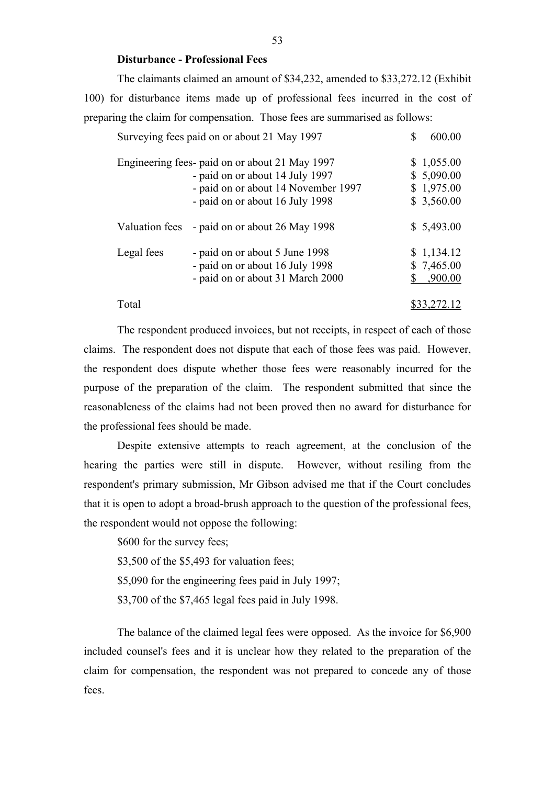## **Disturbance - Professional Fees**

The claimants claimed an amount of \$34,232, amended to \$33,272.12 (Exhibit 100) for disturbance items made up of professional fees incurred in the cost of preparing the claim for compensation. Those fees are summarised as follows:

|                | Surveying fees paid on or about 21 May 1997                                                                                                                 | 600.00                                               |
|----------------|-------------------------------------------------------------------------------------------------------------------------------------------------------------|------------------------------------------------------|
|                | Engineering fees- paid on or about 21 May 1997<br>- paid on or about 14 July 1997<br>- paid on or about 14 November 1997<br>- paid on or about 16 July 1998 | \$1,055.00<br>\$5,090.00<br>\$1,975.00<br>\$3,560.00 |
| Valuation fees | - paid on or about 26 May 1998                                                                                                                              | \$5,493.00                                           |
| Legal fees     | - paid on or about 5 June 1998<br>- paid on or about 16 July 1998<br>- paid on or about 31 March 2000                                                       | \$1,134.12<br>\$7,465.00<br>,900.00                  |
| Total          |                                                                                                                                                             | \$33,272.12                                          |

The respondent produced invoices, but not receipts, in respect of each of those claims. The respondent does not dispute that each of those fees was paid. However, the respondent does dispute whether those fees were reasonably incurred for the purpose of the preparation of the claim. The respondent submitted that since the reasonableness of the claims had not been proved then no award for disturbance for the professional fees should be made.

Despite extensive attempts to reach agreement, at the conclusion of the hearing the parties were still in dispute. However, without resiling from the respondent's primary submission, Mr Gibson advised me that if the Court concludes that it is open to adopt a broad-brush approach to the question of the professional fees, the respondent would not oppose the following:

\$600 for the survey fees;

\$3,500 of the \$5,493 for valuation fees;

\$5,090 for the engineering fees paid in July 1997;

\$3,700 of the \$7,465 legal fees paid in July 1998.

The balance of the claimed legal fees were opposed. As the invoice for \$6,900 included counsel's fees and it is unclear how they related to the preparation of the claim for compensation, the respondent was not prepared to concede any of those fees.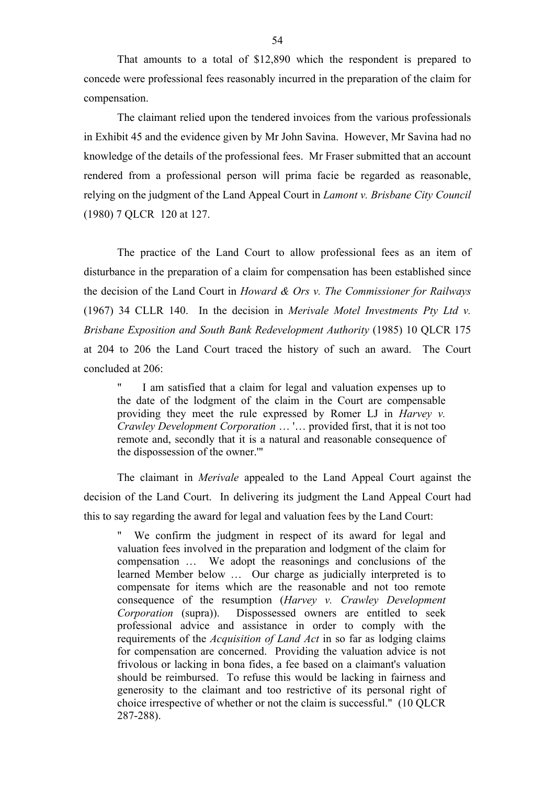That amounts to a total of \$12,890 which the respondent is prepared to concede were professional fees reasonably incurred in the preparation of the claim for compensation.

The claimant relied upon the tendered invoices from the various professionals in Exhibit 45 and the evidence given by Mr John Savina. However, Mr Savina had no knowledge of the details of the professional fees. Mr Fraser submitted that an account rendered from a professional person will prima facie be regarded as reasonable, relying on the judgment of the Land Appeal Court in *Lamont v. Brisbane City Council* (1980) 7 QLCR 120 at 127.

The practice of the Land Court to allow professional fees as an item of disturbance in the preparation of a claim for compensation has been established since the decision of the Land Court in *Howard & Ors v. The Commissioner for Railways* (1967) 34 CLLR 140. In the decision in *Merivale Motel Investments Pty Ltd v. Brisbane Exposition and South Bank Redevelopment Authority* (1985) 10 QLCR 175 at 204 to 206 the Land Court traced the history of such an award. The Court concluded at 206:

I am satisfied that a claim for legal and valuation expenses up to the date of the lodgment of the claim in the Court are compensable providing they meet the rule expressed by Romer LJ in *Harvey v. Crawley Development Corporation* … '… provided first, that it is not too remote and, secondly that it is a natural and reasonable consequence of the dispossession of the owner.'"

The claimant in *Merivale* appealed to the Land Appeal Court against the decision of the Land Court. In delivering its judgment the Land Appeal Court had this to say regarding the award for legal and valuation fees by the Land Court:

We confirm the judgment in respect of its award for legal and valuation fees involved in the preparation and lodgment of the claim for compensation … We adopt the reasonings and conclusions of the learned Member below … Our charge as judicially interpreted is to compensate for items which are the reasonable and not too remote consequence of the resumption (*Harvey v. Crawley Development Corporation* (supra)). Dispossessed owners are entitled to seek professional advice and assistance in order to comply with the requirements of the *Acquisition of Land Act* in so far as lodging claims for compensation are concerned. Providing the valuation advice is not frivolous or lacking in bona fides, a fee based on a claimant's valuation should be reimbursed. To refuse this would be lacking in fairness and generosity to the claimant and too restrictive of its personal right of choice irrespective of whether or not the claim is successful." (10 QLCR 287-288).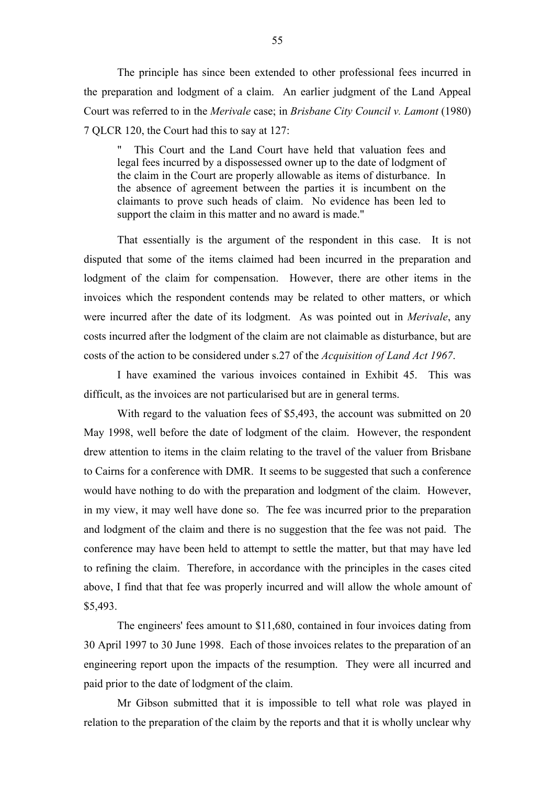The principle has since been extended to other professional fees incurred in the preparation and lodgment of a claim. An earlier judgment of the Land Appeal Court was referred to in the *Merivale* case; in *Brisbane City Council v. Lamont* (1980) 7 QLCR 120, the Court had this to say at 127:

This Court and the Land Court have held that valuation fees and legal fees incurred by a dispossessed owner up to the date of lodgment of the claim in the Court are properly allowable as items of disturbance. In the absence of agreement between the parties it is incumbent on the claimants to prove such heads of claim. No evidence has been led to support the claim in this matter and no award is made."

That essentially is the argument of the respondent in this case. It is not disputed that some of the items claimed had been incurred in the preparation and lodgment of the claim for compensation. However, there are other items in the invoices which the respondent contends may be related to other matters, or which were incurred after the date of its lodgment. As was pointed out in *Merivale*, any costs incurred after the lodgment of the claim are not claimable as disturbance, but are costs of the action to be considered under s.27 of the *Acquisition of Land Act 1967*.

I have examined the various invoices contained in Exhibit 45. This was difficult, as the invoices are not particularised but are in general terms.

With regard to the valuation fees of \$5,493, the account was submitted on 20 May 1998, well before the date of lodgment of the claim. However, the respondent drew attention to items in the claim relating to the travel of the valuer from Brisbane to Cairns for a conference with DMR. It seems to be suggested that such a conference would have nothing to do with the preparation and lodgment of the claim. However, in my view, it may well have done so. The fee was incurred prior to the preparation and lodgment of the claim and there is no suggestion that the fee was not paid. The conference may have been held to attempt to settle the matter, but that may have led to refining the claim. Therefore, in accordance with the principles in the cases cited above, I find that that fee was properly incurred and will allow the whole amount of \$5,493.

The engineers' fees amount to \$11,680, contained in four invoices dating from 30 April 1997 to 30 June 1998. Each of those invoices relates to the preparation of an engineering report upon the impacts of the resumption. They were all incurred and paid prior to the date of lodgment of the claim.

Mr Gibson submitted that it is impossible to tell what role was played in relation to the preparation of the claim by the reports and that it is wholly unclear why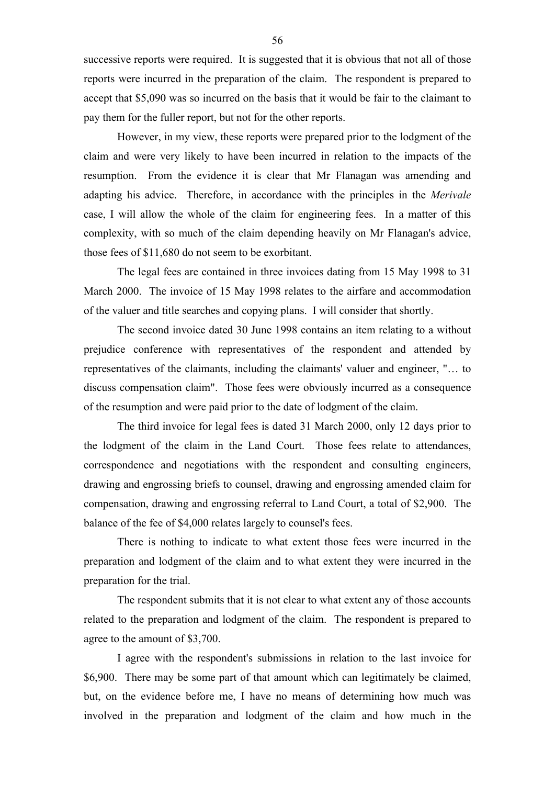successive reports were required. It is suggested that it is obvious that not all of those reports were incurred in the preparation of the claim. The respondent is prepared to accept that \$5,090 was so incurred on the basis that it would be fair to the claimant to pay them for the fuller report, but not for the other reports.

However, in my view, these reports were prepared prior to the lodgment of the claim and were very likely to have been incurred in relation to the impacts of the resumption. From the evidence it is clear that Mr Flanagan was amending and adapting his advice. Therefore, in accordance with the principles in the *Merivale* case, I will allow the whole of the claim for engineering fees. In a matter of this complexity, with so much of the claim depending heavily on Mr Flanagan's advice, those fees of \$11,680 do not seem to be exorbitant.

The legal fees are contained in three invoices dating from 15 May 1998 to 31 March 2000. The invoice of 15 May 1998 relates to the airfare and accommodation of the valuer and title searches and copying plans. I will consider that shortly.

The second invoice dated 30 June 1998 contains an item relating to a without prejudice conference with representatives of the respondent and attended by representatives of the claimants, including the claimants' valuer and engineer, "… to discuss compensation claim". Those fees were obviously incurred as a consequence of the resumption and were paid prior to the date of lodgment of the claim.

The third invoice for legal fees is dated 31 March 2000, only 12 days prior to the lodgment of the claim in the Land Court. Those fees relate to attendances, correspondence and negotiations with the respondent and consulting engineers, drawing and engrossing briefs to counsel, drawing and engrossing amended claim for compensation, drawing and engrossing referral to Land Court, a total of \$2,900. The balance of the fee of \$4,000 relates largely to counsel's fees.

There is nothing to indicate to what extent those fees were incurred in the preparation and lodgment of the claim and to what extent they were incurred in the preparation for the trial.

The respondent submits that it is not clear to what extent any of those accounts related to the preparation and lodgment of the claim. The respondent is prepared to agree to the amount of \$3,700.

I agree with the respondent's submissions in relation to the last invoice for \$6,900. There may be some part of that amount which can legitimately be claimed, but, on the evidence before me, I have no means of determining how much was involved in the preparation and lodgment of the claim and how much in the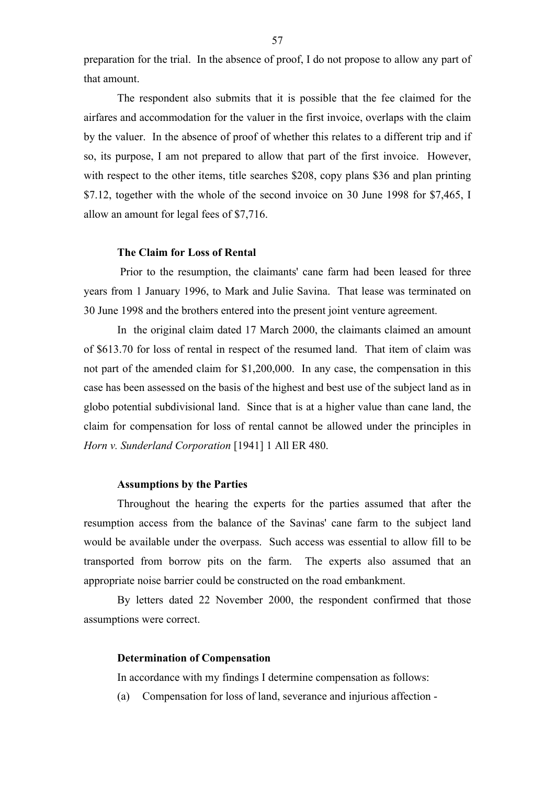preparation for the trial. In the absence of proof, I do not propose to allow any part of that amount.

The respondent also submits that it is possible that the fee claimed for the airfares and accommodation for the valuer in the first invoice, overlaps with the claim by the valuer. In the absence of proof of whether this relates to a different trip and if so, its purpose, I am not prepared to allow that part of the first invoice. However, with respect to the other items, title searches \$208, copy plans \$36 and plan printing \$7.12, together with the whole of the second invoice on 30 June 1998 for \$7,465, I allow an amount for legal fees of \$7,716.

## **The Claim for Loss of Rental**

 Prior to the resumption, the claimants' cane farm had been leased for three years from 1 January 1996, to Mark and Julie Savina. That lease was terminated on 30 June 1998 and the brothers entered into the present joint venture agreement.

In the original claim dated 17 March 2000, the claimants claimed an amount of \$613.70 for loss of rental in respect of the resumed land. That item of claim was not part of the amended claim for \$1,200,000. In any case, the compensation in this case has been assessed on the basis of the highest and best use of the subject land as in globo potential subdivisional land. Since that is at a higher value than cane land, the claim for compensation for loss of rental cannot be allowed under the principles in *Horn v. Sunderland Corporation* [1941] 1 All ER 480.

## **Assumptions by the Parties**

Throughout the hearing the experts for the parties assumed that after the resumption access from the balance of the Savinas' cane farm to the subject land would be available under the overpass. Such access was essential to allow fill to be transported from borrow pits on the farm. The experts also assumed that an appropriate noise barrier could be constructed on the road embankment.

By letters dated 22 November 2000, the respondent confirmed that those assumptions were correct.

## **Determination of Compensation**

In accordance with my findings I determine compensation as follows:

(a) Compensation for loss of land, severance and injurious affection -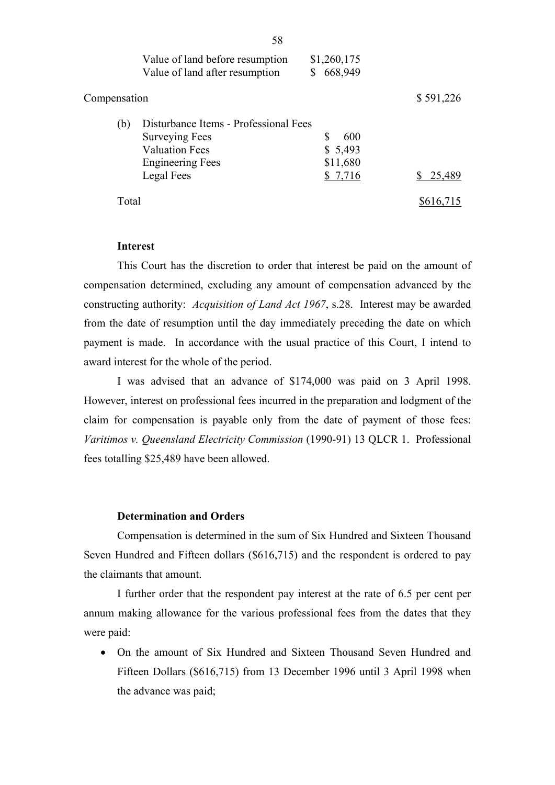|              | Value of land before resumption<br>Value of land after resumption                                                                | \$1,260,175<br>668,949                     |           |
|--------------|----------------------------------------------------------------------------------------------------------------------------------|--------------------------------------------|-----------|
| Compensation |                                                                                                                                  |                                            | \$591,226 |
| (b)          | Disturbance Items - Professional Fees<br><b>Surveying Fees</b><br><b>Valuation Fees</b><br><b>Engineering Fees</b><br>Legal Fees | S<br>600<br>\$5,493<br>\$11,680<br>\$7,716 | 25,489    |
| Total        |                                                                                                                                  |                                            |           |

## **Interest**

This Court has the discretion to order that interest be paid on the amount of compensation determined, excluding any amount of compensation advanced by the constructing authority: *Acquisition of Land Act 1967*, s.28. Interest may be awarded from the date of resumption until the day immediately preceding the date on which payment is made. In accordance with the usual practice of this Court, I intend to award interest for the whole of the period.

I was advised that an advance of \$174,000 was paid on 3 April 1998. However, interest on professional fees incurred in the preparation and lodgment of the claim for compensation is payable only from the date of payment of those fees: *Varitimos v. Queensland Electricity Commission* (1990-91) 13 QLCR 1. Professional fees totalling \$25,489 have been allowed.

# **Determination and Orders**

Compensation is determined in the sum of Six Hundred and Sixteen Thousand Seven Hundred and Fifteen dollars (\$616,715) and the respondent is ordered to pay the claimants that amount.

I further order that the respondent pay interest at the rate of 6.5 per cent per annum making allowance for the various professional fees from the dates that they were paid:

• On the amount of Six Hundred and Sixteen Thousand Seven Hundred and Fifteen Dollars (\$616,715) from 13 December 1996 until 3 April 1998 when the advance was paid;